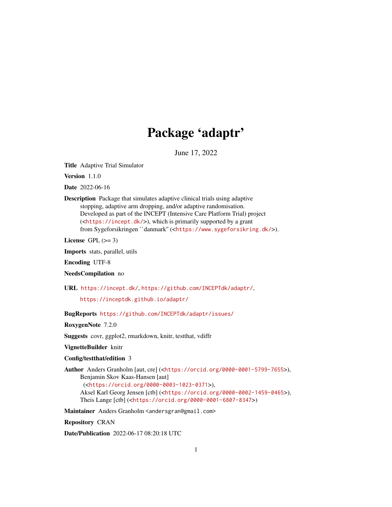## Package 'adaptr'

June 17, 2022

<span id="page-0-0"></span>Title Adaptive Trial Simulator

Version 1.1.0

Date 2022-06-16

Description Package that simulates adaptive clinical trials using adaptive stopping, adaptive arm dropping, and/or adaptive randomisation. Developed as part of the INCEPT (Intensive Care Platform Trial) project (<<https://incept.dk/>>), which is primarily supported by a grant from Sygeforsikringen ``danmark'' (<<https://www.sygeforsikring.dk/>>).

License GPL  $(>= 3)$ 

Imports stats, parallel, utils

Encoding UTF-8

NeedsCompilation no

URL <https://incept.dk/>, <https://github.com/INCEPTdk/adaptr/>,

<https://inceptdk.github.io/adaptr/>

BugReports <https://github.com/INCEPTdk/adaptr/issues/>

RoxygenNote 7.2.0

Suggests covr, ggplot2, rmarkdown, knitr, testthat, vdiffr

VignetteBuilder knitr

Config/testthat/edition 3

Author Anders Granholm [aut, cre] (<<https://orcid.org/0000-0001-5799-7655>>), Benjamin Skov Kaas-Hansen [aut]

(<<https://orcid.org/0000-0003-1023-0371>>),

Aksel Karl Georg Jensen [ctb] (<<https://orcid.org/0000-0002-1459-0465>>), Theis Lange [ctb] (<<https://orcid.org/0000-0001-6807-8347>>)

Maintainer Anders Granholm <andersgran@gmail.com>

Repository CRAN

Date/Publication 2022-06-17 08:20:18 UTC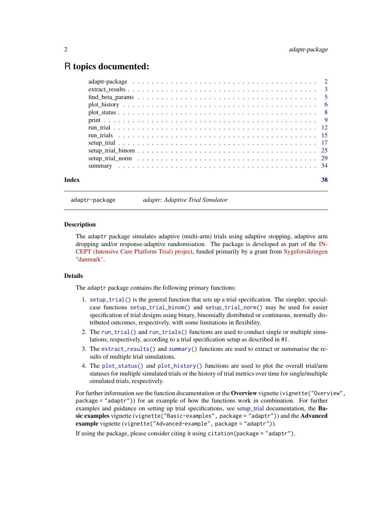## <span id="page-1-0"></span>R topics documented:

|       | $plot\_history \ldots \ldots \ldots \ldots \ldots \ldots \ldots \ldots \ldots \ldots \ldots \ldots \ldots$    |    |
|-------|---------------------------------------------------------------------------------------------------------------|----|
|       |                                                                                                               |    |
|       |                                                                                                               |    |
|       |                                                                                                               |    |
|       |                                                                                                               |    |
|       |                                                                                                               |    |
|       |                                                                                                               |    |
|       | setup trial norm $\ldots \ldots \ldots \ldots \ldots \ldots \ldots \ldots \ldots \ldots \ldots \ldots \ldots$ |    |
|       |                                                                                                               |    |
| Index |                                                                                                               | 38 |

adaptr-package *adaptr: Adaptive Trial Simulator*

#### Description

The adaptr package simulates adaptive (multi-arm) trials using adaptive stopping, adaptive arm dropping and/or response-adaptive randomisation. The package is developed as part of the [IN-](https://incept.dk/)[CEPT \(Intensive Care Platform Trial\) project,](https://incept.dk/) funded primarily by a grant from [Sygeforsikringen](https://www.sygeforsikring.dk/) ["danmark".](https://www.sygeforsikring.dk/)

## Details

The adaptr package contains the following primary functions:

- 1. [setup\\_trial\(\)](#page-16-1) is the general function that sets up a trial specification. The simpler, specialcase functions [setup\\_trial\\_binom\(\)](#page-24-1) and [setup\\_trial\\_norm\(\)](#page-28-1) may be used for easier specification of trial designs using binary, binomially distributed or continuous, normally distributed outcomes, respectively, with some limitations in flexibility.
- 2. The [run\\_trial\(\)](#page-11-1) and [run\\_trials\(\)](#page-14-1) functions are used to conduct single or multiple simulations, respectively, according to a trial specification setup as described in #1.
- 3. The [extract\\_results\(\)](#page-2-1) and [summary\(\)](#page-33-1) functions are used to extract or summarise the results of multiple trial simulations.
- 4. The [plot\\_status\(\)](#page-7-1) and [plot\\_history\(\)](#page-5-1) functions are used to plot the overall trial/arm statuses for multiple simulated trials or the history of trial metrics over time for single/multiple simulated trials, respectively.

For further information see the function documentation or the Overview vignette (vignette ("Overview", package = "adaptr")) for an example of how the functions work in combination. For further examples and guidance on setting up trial specifications, see [setup\\_trial](#page-16-1) documentation, the **Ba**sic examples vignette (vignette("Basic-examples", package = "adaptr")) and the Advanced example vignette (vignette ("Advanced-example", package = "adaptr")).

If using the package, please consider citing it using citation(package = "adaptr").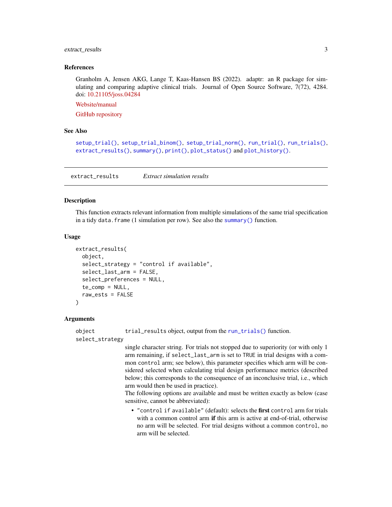## <span id="page-2-0"></span>extract\_results 3

#### References

Granholm A, Jensen AKG, Lange T, Kaas-Hansen BS (2022). adaptr: an R package for simulating and comparing adaptive clinical trials. Journal of Open Source Software, 7(72), 4284. doi: [10.21105/joss.04284](https://doi.org/10.21105/joss.04284)

[Website/manual](https://inceptdk.github.io/adaptr/)

[GitHub repository](https://github.com/INCEPTdk/adaptr/)

#### See Also

```
setup_trial(), setup_trial_binom(), setup_trial_norm(), run_trial(), run_trials(),
extract_results(), summary(), print(), plot_status() and plot_history().
```
<span id="page-2-1"></span>extract\_results *Extract simulation results*

#### Description

This function extracts relevant information from multiple simulations of the same trial specification in a tidy data. frame (1 simulation per row). See also the [summary\(\)](#page-33-1) function.

#### Usage

```
extract_results(
  object,
  select_strategy = "control if available",
  select_last_arm = FALSE,
  select_preferences = NULL,
  te_{comp} = NULL,
  raw_ests = FALSE
)
```
#### Arguments

object trial\_results object, output from the [run\\_trials\(\)](#page-14-1) function.

```
select_strategy
```
single character string. For trials not stopped due to superiority (or with only 1 arm remaining, if select\_last\_arm is set to TRUE in trial designs with a common control arm; see below), this parameter specifies which arm will be considered selected when calculating trial design performance metrics (described below; this corresponds to the consequence of an inconclusive trial, i.e., which arm would then be used in practice).

The following options are available and must be written exactly as below (case sensitive, cannot be abbreviated):

• "control if available" (default): selects the first control arm for trials with a common control arm if this arm is active at end-of-trial, otherwise no arm will be selected. For trial designs without a common control, no arm will be selected.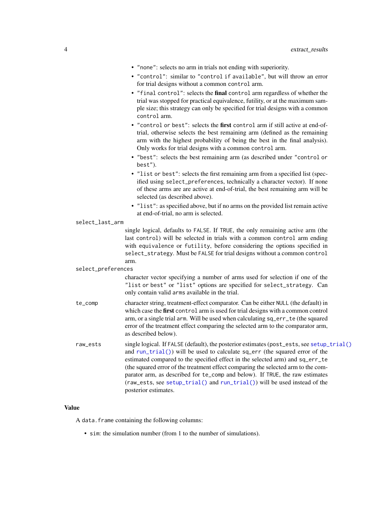<span id="page-3-0"></span>

| • "none": selects no arm in trials not ending with superiority.<br>• "control": similar to "control if available", but will throw an error<br>for trial designs without a common control arm.<br>. "final control": selects the final control arm regardless of whether the<br>trial was stopped for practical equivalence, futility, or at the maximum sam-<br>ple size; this strategy can only be specified for trial designs with a common<br>control arm.<br>. "control or best": selects the first control arm if still active at end-of-<br>trial, otherwise selects the best remaining arm (defined as the remaining<br>arm with the highest probability of being the best in the final analysis).<br>Only works for trial designs with a common control arm.<br>· "best": selects the best remaining arm (as described under "control or<br>best").<br>• "list or best": selects the first remaining arm from a specified list (spec-<br>ified using select_preferences, technically a character vector). If none<br>of these arms are are active at end-of-trial, the best remaining arm will be |
|-----------------------------------------------------------------------------------------------------------------------------------------------------------------------------------------------------------------------------------------------------------------------------------------------------------------------------------------------------------------------------------------------------------------------------------------------------------------------------------------------------------------------------------------------------------------------------------------------------------------------------------------------------------------------------------------------------------------------------------------------------------------------------------------------------------------------------------------------------------------------------------------------------------------------------------------------------------------------------------------------------------------------------------------------------------------------------------------------------------|
| selected (as described above).                                                                                                                                                                                                                                                                                                                                                                                                                                                                                                                                                                                                                                                                                                                                                                                                                                                                                                                                                                                                                                                                            |
| · "list": as specified above, but if no arms on the provided list remain active<br>at end-of-trial, no arm is selected.                                                                                                                                                                                                                                                                                                                                                                                                                                                                                                                                                                                                                                                                                                                                                                                                                                                                                                                                                                                   |
| select_last_arm                                                                                                                                                                                                                                                                                                                                                                                                                                                                                                                                                                                                                                                                                                                                                                                                                                                                                                                                                                                                                                                                                           |
| single logical, defaults to FALSE. If TRUE, the only remaining active arm (the<br>last control) will be selected in trials with a common control arm ending<br>with equivalence or futility, before considering the options specified in<br>select_strategy. Must be FALSE for trial designs without a common control<br>arm.                                                                                                                                                                                                                                                                                                                                                                                                                                                                                                                                                                                                                                                                                                                                                                             |
| select_preferences                                                                                                                                                                                                                                                                                                                                                                                                                                                                                                                                                                                                                                                                                                                                                                                                                                                                                                                                                                                                                                                                                        |
| character vector specifying a number of arms used for selection if one of the<br>"list or best" or "list" options are specified for select_strategy. Can<br>only contain valid arms available in the trial.                                                                                                                                                                                                                                                                                                                                                                                                                                                                                                                                                                                                                                                                                                                                                                                                                                                                                               |
| character string, treatment-effect comparator. Can be either NULL (the default) in<br>which case the first control arm is used for trial designs with a common control<br>arm, or a single trial arm. Will be used when calculating sq_err_te (the squared<br>error of the treatment effect comparing the selected arm to the comparator arm,<br>as described below).                                                                                                                                                                                                                                                                                                                                                                                                                                                                                                                                                                                                                                                                                                                                     |
| single logical. If FALSE (default), the posterior estimates (post_ests, see setup_trial()<br>and run_trial()) will be used to calculate sq_err (the squared error of the<br>estimated compared to the specified effect in the selected arm) and sq_err_te<br>(the squared error of the treatment effect comparing the selected arm to the com-<br>parator arm, as described for te_comp and below). If TRUE, the raw estimates<br>(raw_ests, see setup_trial() and run_trial()) will be used instead of the<br>posterior estimates.                                                                                                                                                                                                                                                                                                                                                                                                                                                                                                                                                                       |
|                                                                                                                                                                                                                                                                                                                                                                                                                                                                                                                                                                                                                                                                                                                                                                                                                                                                                                                                                                                                                                                                                                           |

## Value

A data.frame containing the following columns:

• sim: the simulation number (from 1 to the number of simulations).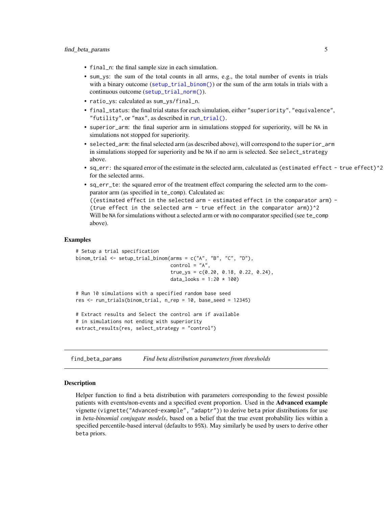- <span id="page-4-0"></span>• final\_n: the final sample size in each simulation.
- sum\_ys: the sum of the total counts in all arms, e.g., the total number of events in trials with a binary outcome ([setup\\_trial\\_binom\(\)](#page-24-1)) or the sum of the arm totals in trials with a continuous outcome ([setup\\_trial\\_norm\(\)](#page-28-1)).
- ratio\_ys: calculated as sum\_ys/final\_n.
- final\_status: the final trial status for each simulation, either "superiority", "equivalence", "futility", or "max", as described in [run\\_trial\(\)](#page-11-1).
- superior\_arm: the final superior arm in simulations stopped for superiority, will be NA in simulations not stopped for superiority.
- selected\_arm: the final selected arm (as described above), will correspond to the superior\_arm in simulations stopped for superiority and be NA if no arm is selected. See select\_strategy above.
- sq\_err: the squared error of the estimate in the selected arm, calculated as (estimated effect true effect)^2 for the selected arms.
- sq\_err\_te: the squared error of the treatment effect comparing the selected arm to the comparator arm (as specified in te\_comp). Calculated as: ((estimated effect in the selected arm - estimated effect in the comparator arm) - (true effect in the selected arm - true effect in the comparator arm) $)^2$ Will be NA for simulations without a selected arm or with no comparator specified (see te\_comp above).

#### Examples

```
# Setup a trial specification
binom_trial <- setup_trial_binom(arms = c("A", "B", "C", "D"),
                                 control = "A",true_ys = c(0.20, 0.18, 0.22, 0.24),
                                 data_looks = 1:20 \times 100# Run 10 simulations with a specified random base seed
res <- run_trials(binom_trial, n_rep = 10, base_seed = 12345)
# Extract results and Select the control arm if available
```

```
# in simulations not ending with superiority
```
extract\_results(res, select\_strategy = "control")

find\_beta\_params *Find beta distribution parameters from thresholds*

#### Description

Helper function to find a beta distribution with parameters corresponding to the fewest possible patients with events/non-events and a specified event proportion. Used in the Advanced example vignette (vignette("Advanced-example", "adaptr")) to derive beta prior distributions for use in *beta-binomial conjugate models*, based on a belief that the true event probability lies within a specified percentile-based interval (defaults to 95%). May similarly be used by users to derive other beta priors.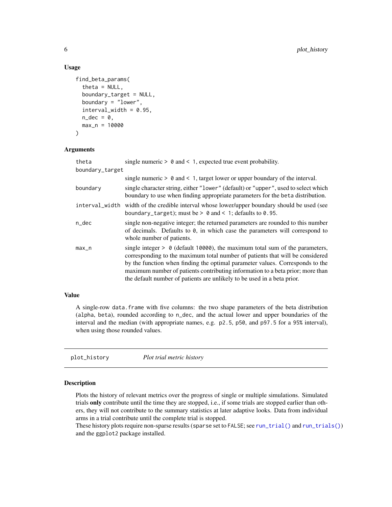#### Usage

```
find_beta_params(
  theta = NULL,
  boundary_target = NULL,
  boundary = "lower",
  interval\_width = 0.95,
  n\_dec = 0,
  max_n = 10000
)
```
## Arguments

| theta           | single numeric $> 0$ and $< 1$ , expected true event probability.                                                                                                                                                                                                                                                                                                                                             |
|-----------------|---------------------------------------------------------------------------------------------------------------------------------------------------------------------------------------------------------------------------------------------------------------------------------------------------------------------------------------------------------------------------------------------------------------|
| boundary_target |                                                                                                                                                                                                                                                                                                                                                                                                               |
|                 | single numeric $> 0$ and $< 1$ , target lower or upper boundary of the interval.                                                                                                                                                                                                                                                                                                                              |
| boundary        | single character string, either "lower" (default) or "upper", used to select which<br>boundary to use when finding appropriate parameters for the beta distribution.                                                                                                                                                                                                                                          |
|                 | interval_width width of the credible interval whose lower/upper boundary should be used (see<br>boundary_target); must be $> 0$ and $< 1$ ; defaults to 0.95.                                                                                                                                                                                                                                                 |
| $n$ _dec        | single non-negative integer; the returned parameters are rounded to this number<br>of decimals. Defaults to 0, in which case the parameters will correspond to<br>whole number of patients.                                                                                                                                                                                                                   |
| $max_n$         | single integer $> 0$ (default 10000), the maximum total sum of the parameters,<br>corresponding to the maximum total number of patients that will be considered<br>by the function when finding the optimal parameter values. Corresponds to the<br>maximum number of patients contributing information to a beta prior; more than<br>the default number of patients are unlikely to be used in a beta prior. |

## Value

A single-row data.frame with five columns: the two shape parameters of the beta distribution (alpha, beta), rounded according to n\_dec, and the actual lower and upper boundaries of the interval and the median (with appropriate names, e.g. p2.5, p50, and p97.5 for a 95% interval), when using those rounded values.

<span id="page-5-1"></span>plot\_history *Plot trial metric history*

#### Description

Plots the history of relevant metrics over the progress of single or multiple simulations. Simulated trials only contribute until the time they are stopped, i.e., if some trials are stopped earlier than others, they will not contribute to the summary statistics at later adaptive looks. Data from individual arms in a trial contribute until the complete trial is stopped.

These history plots require non-sparse results (sparse set to FALSE; see [run\\_trial\(\)](#page-11-1) and [run\\_trials\(\)](#page-14-1)) and the ggplot2 package installed.

<span id="page-5-0"></span>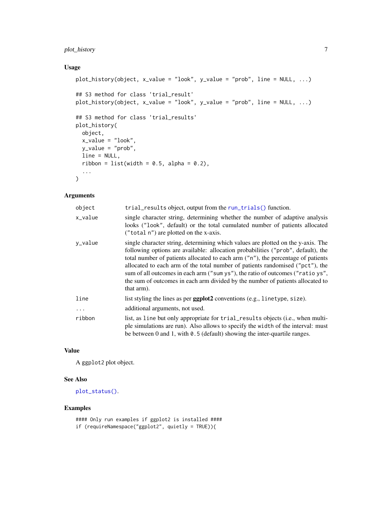## <span id="page-6-0"></span>plot\_history 7

## Usage

```
plot_history(object, x_value = "look", y_value = "prob", line = NULL, ...)
## S3 method for class 'trial_result'
plot_history(object, x_value = "look", y_value = "prob", line = NULL, ...)
## S3 method for class 'trial_results'
plot_history(
 object,
 x_value = "look",
 y_value = "prob",
 line = NULL,
 ribbon = list(width = 0.5, alpha = 0.2),
  ...
\mathcal{L}
```
### Arguments

| object    | trial_results object, output from the run_trials() function.                                                                                                                                                                                                                                                                                                                                                                                                                                                                |
|-----------|-----------------------------------------------------------------------------------------------------------------------------------------------------------------------------------------------------------------------------------------------------------------------------------------------------------------------------------------------------------------------------------------------------------------------------------------------------------------------------------------------------------------------------|
| x_value   | single character string, determining whether the number of adaptive analysis<br>looks ("look", default) or the total cumulated number of patients allocated<br>("total n") are plotted on the x-axis.                                                                                                                                                                                                                                                                                                                       |
| y_value   | single character string, determining which values are plotted on the y-axis. The<br>following options are available: allocation probabilities ("prob", default), the<br>total number of patients allocated to each arm ("n"), the percentage of patients<br>allocated to each arm of the total number of patients randomised ("pct"), the<br>sum of all outcomes in each arm ("sum ys"), the ratio of outcomes ("ratio ys",<br>the sum of outcomes in each arm divided by the number of patients allocated to<br>that arm). |
| line      | list styling the lines as per <b>ggplot2</b> conventions (e.g., linetype, size).                                                                                                                                                                                                                                                                                                                                                                                                                                            |
| $\ddotsc$ | additional arguments, not used.                                                                                                                                                                                                                                                                                                                                                                                                                                                                                             |
| ribbon    | list, as line but only appropriate for trial_results objects (i.e., when multi-<br>ple simulations are run). Also allows to specify the width of the interval: must<br>be between $0$ and $1$ , with $0.5$ (default) showing the inter-quartile ranges.                                                                                                                                                                                                                                                                     |

### Value

A ggplot2 plot object.

## See Also

[plot\\_status\(\)](#page-7-1).

## Examples

#### Only run examples if ggplot2 is installed #### if (requireNamespace("ggplot2", quietly = TRUE)){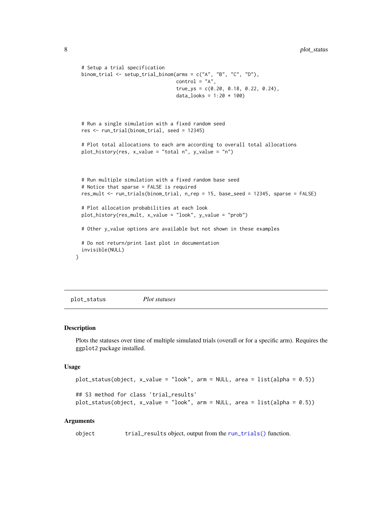```
# Setup a trial specification
 binom_trial <- setup_trial_binom(arms = c("A", "B", "C", "D"),
                                   control = "A",
                                   true_ys = c(0.20, 0.18, 0.22, 0.24),
                                   data_looks = 1:20 * 100)
 # Run a single simulation with a fixed random seed
 res <- run_trial(binom_trial, seed = 12345)
 # Plot total allocations to each arm according to overall total allocations
 plot_history(res, x_value = "total n", y_value = "n")
 # Run multiple simulation with a fixed random base seed
 # Notice that sparse = FALSE is required
 res_mult <- run_trials(binom_trial, n_rep = 15, base_seed = 12345, sparse = FALSE)
 # Plot allocation probabilities at each look
 plot_history(res_mult, x_value = "look", y_value = "prob")
 # Other y_value options are available but not shown in these examples
 # Do not return/print last plot in documentation
 invisible(NULL)
}
```
<span id="page-7-1"></span>plot\_status *Plot statuses*

#### Description

Plots the statuses over time of multiple simulated trials (overall or for a specific arm). Requires the ggplot2 package installed.

#### Usage

```
plot_status(object, x_value = "look", arm = NULL, area = list(alpha = 0.5))
## S3 method for class 'trial_results'
plot_status(object, x_value = "look", arm = NULL, area = list(alpha = 0.5))
```
#### Arguments

object trial\_results object, output from the [run\\_trials\(\)](#page-14-1) function.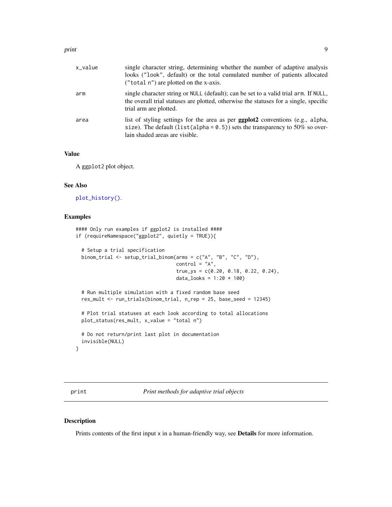<span id="page-8-0"></span>

| x_value | single character string, determining whether the number of adaptive analysis<br>looks ("look", default) or the total cumulated number of patients allocated<br>("total n") are plotted on the x-axis.      |
|---------|------------------------------------------------------------------------------------------------------------------------------------------------------------------------------------------------------------|
| arm     | single character string or NULL (default); can be set to a valid trial arm. If NULL,<br>the overall trial statuses are plotted, otherwise the statuses for a single, specific<br>trial arm are plotted.    |
| area    | list of styling settings for the area as per <b>ggplot2</b> conventions (e.g., alpha,<br>size). The default (list(alpha = $0.5$ )) sets the transparency to 50% so over-<br>lain shaded areas are visible. |

#### Value

A ggplot2 plot object.

## See Also

[plot\\_history\(\)](#page-5-1).

## Examples

```
#### Only run examples if ggplot2 is installed ####
if (requireNamespace("ggplot2", quietly = TRUE)){
 # Setup a trial specification
 binom_trial <- setup_trial_binom(arms = c("A", "B", "C", "D"),control = "A",
                                   true_ys = c(0.20, 0.18, 0.22, 0.24),
                                  data_looks = 1:20 * 100# Run multiple simulation with a fixed random base seed
 res_mult <- run_trials(binom_trial, n_rep = 25, base_seed = 12345)
 # Plot trial statuses at each look according to total allocations
 plot_status(res_mult, x_value = "total n")
 # Do not return/print last plot in documentation
 invisible(NULL)
}
```
<span id="page-8-1"></span>print *Print methods for adaptive trial objects*

#### <span id="page-8-2"></span>Description

Prints contents of the first input x in a human-friendly way, see **Details** for more information.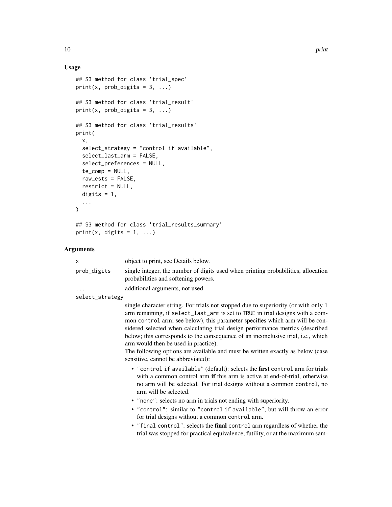## Usage

```
## S3 method for class 'trial_spec'
print(x, prob\_digits = 3, ...)## S3 method for class 'trial_result'
print(x, prob\_digits = 3, ...)## S3 method for class 'trial_results'
print(
  x,
  select_strategy = "control if available",
  select_last_arm = FALSE,
  select_preferences = NULL,
  te_comp = NULL,
  raw_ests = FALSE,
  restrict = NULL,
  digits = 1,
  ...
\mathcal{L}## S3 method for class 'trial_results_summary'
```

```
print(x, digits = 1, ...)
```
## Arguments

| X               | object to print, see Details below.                                                                                                                                                                                                                                                                                                                                                                                                                                                                                                                                                      |
|-----------------|------------------------------------------------------------------------------------------------------------------------------------------------------------------------------------------------------------------------------------------------------------------------------------------------------------------------------------------------------------------------------------------------------------------------------------------------------------------------------------------------------------------------------------------------------------------------------------------|
| prob_digits     | single integer, the number of digits used when printing probabilities, allocation<br>probabilities and softening powers.                                                                                                                                                                                                                                                                                                                                                                                                                                                                 |
| .               | additional arguments, not used.                                                                                                                                                                                                                                                                                                                                                                                                                                                                                                                                                          |
| select_strategy |                                                                                                                                                                                                                                                                                                                                                                                                                                                                                                                                                                                          |
|                 | single character string. For trials not stopped due to superiority (or with only 1<br>arm remaining, if select_last_arm is set to TRUE in trial designs with a com-<br>mon control arm; see below), this parameter specifies which arm will be con-<br>sidered selected when calculating trial design performance metrics (described<br>below; this corresponds to the consequence of an inconclusive trial, i.e., which<br>arm would then be used in practice).<br>The following options are available and must be written exactly as below (case<br>sensitive, cannot be abbreviated): |
|                 | • "control if available" (default): selects the first control arm for trials<br>with a common control arm if this arm is active at end-of-trial, otherwise<br>no arm will be selected. For trial designs without a common control, no<br>arm will be selected.                                                                                                                                                                                                                                                                                                                           |
|                 | • "none": selects no arm in trials not ending with superiority.                                                                                                                                                                                                                                                                                                                                                                                                                                                                                                                          |
|                 | • "control": similar to "control if available", but will throw an error<br>for trial designs without a common control arm.                                                                                                                                                                                                                                                                                                                                                                                                                                                               |
|                 | . "final control": selects the final control arm regardless of whether the<br>trial was stopped for practical equivalence, futility, or at the maximum sam-                                                                                                                                                                                                                                                                                                                                                                                                                              |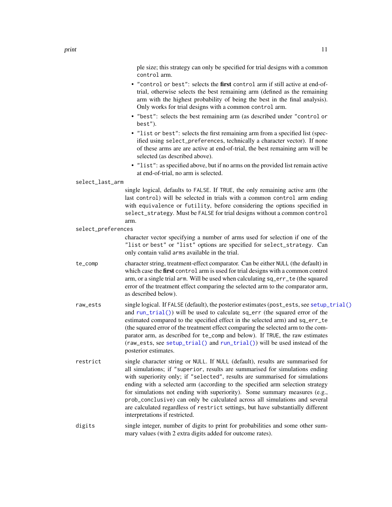<span id="page-10-0"></span>ple size; this strategy can only be specified for trial designs with a common control arm.

- "control or best": selects the first control arm if still active at end-oftrial, otherwise selects the best remaining arm (defined as the remaining arm with the highest probability of being the best in the final analysis). Only works for trial designs with a common control arm.
- "best": selects the best remaining arm (as described under "control or best").
- "list or best": selects the first remaining arm from a specified list (specified using select\_preferences, technically a character vector). If none of these arms are are active at end-of-trial, the best remaining arm will be selected (as described above).
- "list": as specified above, but if no arms on the provided list remain active at end-of-trial, no arm is selected.

#### select\_last\_arm

single logical, defaults to FALSE. If TRUE, the only remaining active arm (the last control) will be selected in trials with a common control arm ending with equivalence or futility, before considering the options specified in select\_strategy. Must be FALSE for trial designs without a common control arm.

select\_preferences

character vector specifying a number of arms used for selection if one of the "list or best" or "list" options are specified for select\_strategy. Can only contain valid arms available in the trial.

- te\_comp character string, treatment-effect comparator. Can be either NULL (the default) in which case the first control arm is used for trial designs with a common control arm, or a single trial arm. Will be used when calculating sq\_err\_te (the squared error of the treatment effect comparing the selected arm to the comparator arm, as described below).
- raw\_ests single logical. If FALSE (default), the posterior estimates (post\_ests, see [setup\\_trial\(\)](#page-16-1) and [run\\_trial\(\)](#page-11-1)) will be used to calculate sq\_err (the squared error of the estimated compared to the specified effect in the selected arm) and sq\_err\_te (the squared error of the treatment effect comparing the selected arm to the comparator arm, as described for te\_comp and below). If TRUE, the raw estimates (raw\_ests, see [setup\\_trial\(\)](#page-16-1) and [run\\_trial\(\)](#page-11-1)) will be used instead of the posterior estimates.
- restrict single character string or NULL. If NULL (default), results are summarised for all simulations; if "superior, results are summarised for simulations ending with superiority only; if "selected", results are summarised for simulations ending with a selected arm (according to the specified arm selection strategy for simulations not ending with superiority). Some summary measures (e.g., prob\_conclusive) can only be calculated across all simulations and several are calculated regardless of restrict settings, but have substantially different interpretations if restricted.
- digits single integer, number of digits to print for probabilities and some other summary values (with 2 extra digits added for outcome rates).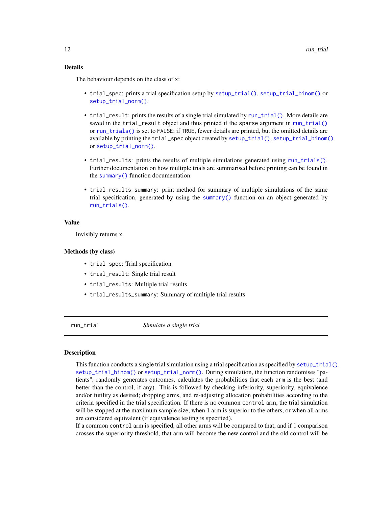## <span id="page-11-0"></span>Details

The behaviour depends on the class of x:

- trial\_spec: prints a trial specification setup by [setup\\_trial\(\)](#page-16-1), [setup\\_trial\\_binom\(\)](#page-24-1) or [setup\\_trial\\_norm\(\)](#page-28-1).
- trial\_result: prints the results of a single trial simulated by [run\\_trial\(\)](#page-11-1). More details are saved in the trial\_result object and thus printed if the sparse argument in [run\\_trial\(\)](#page-11-1) or [run\\_trials\(\)](#page-14-1) is set to FALSE; if TRUE, fewer details are printed, but the omitted details are available by printing the trial\_spec object created by [setup\\_trial\(\)](#page-16-1), [setup\\_trial\\_binom\(\)](#page-24-1) or [setup\\_trial\\_norm\(\)](#page-28-1).
- trial\_results: prints the results of multiple simulations generated using [run\\_trials\(\)](#page-14-1). Further documentation on how multiple trials are summarised before printing can be found in the [summary\(\)](#page-33-1) function documentation.
- trial\_results\_summary: print method for summary of multiple simulations of the same trial specification, generated by using the [summary\(\)](#page-33-1) function on an object generated by [run\\_trials\(\)](#page-14-1).

#### Value

Invisibly returns x.

#### Methods (by class)

- trial\_spec: Trial specification
- trial\_result: Single trial result
- trial\_results: Multiple trial results
- trial\_results\_summary: Summary of multiple trial results

<span id="page-11-1"></span>

run\_trial *Simulate a single trial*

#### Description

This function conducts a single trial simulation using a trial specification as specified by [setup\\_trial\(\)](#page-16-1), [setup\\_trial\\_binom\(\)](#page-24-1) or [setup\\_trial\\_norm\(\)](#page-28-1). During simulation, the function randomises "patients", randomly generates outcomes, calculates the probabilities that each arm is the best (and better than the control, if any). This is followed by checking inferiority, superiority, equivalence and/or futility as desired; dropping arms, and re-adjusting allocation probabilities according to the criteria specified in the trial specification. If there is no common control arm, the trial simulation will be stopped at the maximum sample size, when 1 arm is superior to the others, or when all arms are considered equivalent (if equivalence testing is specified).

If a common control arm is specified, all other arms will be compared to that, and if 1 comparison crosses the superiority threshold, that arm will become the new control and the old control will be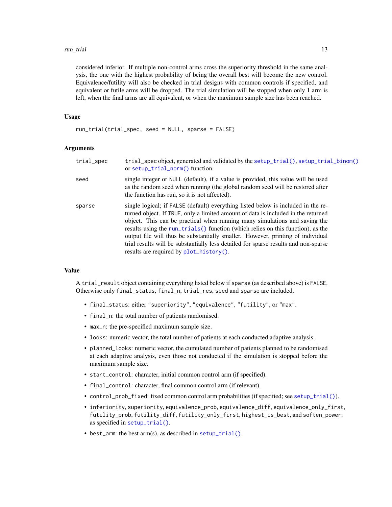<span id="page-12-0"></span>considered inferior. If multiple non-control arms cross the superiority threshold in the same analysis, the one with the highest probability of being the overall best will become the new control. Equivalence/futility will also be checked in trial designs with common controls if specified, and equivalent or futile arms will be dropped. The trial simulation will be stopped when only 1 arm is left, when the final arms are all equivalent, or when the maximum sample size has been reached.

## Usage

run\_trial(trial\_spec, seed = NULL, sparse = FALSE)

#### Arguments

| trial_spec | trial_spec object, generated and validated by the setup_trial(), setup_trial_binom()<br>or setup_trial_norm() function.                                                                                                                                                                                                                                                                                                                                                                                                                                      |
|------------|--------------------------------------------------------------------------------------------------------------------------------------------------------------------------------------------------------------------------------------------------------------------------------------------------------------------------------------------------------------------------------------------------------------------------------------------------------------------------------------------------------------------------------------------------------------|
| seed       | single integer or NULL (default), if a value is provided, this value will be used<br>as the random seed when running (the global random seed will be restored after<br>the function has run, so it is not affected).                                                                                                                                                                                                                                                                                                                                         |
| sparse     | single logical; if FALSE (default) everything listed below is included in the re-<br>turned object. If TRUE, only a limited amount of data is included in the returned<br>object. This can be practical when running many simulations and saving the<br>results using the run_trials() function (which relies on this function), as the<br>output file will thus be substantially smaller. However, printing of individual<br>trial results will be substantially less detailed for sparse results and non-sparse<br>results are required by plot_history(). |

## Value

A trial\_result object containing everything listed below if sparse (as described above) is FALSE. Otherwise only final\_status, final\_n, trial\_res, seed and sparse are included.

- final\_status: either "superiority", "equivalence", "futility", or "max".
- final\_n: the total number of patients randomised.
- max\_n: the pre-specified maximum sample size.
- looks: numeric vector, the total number of patients at each conducted adaptive analysis.
- planned\_looks: numeric vector, the cumulated number of patients planned to be randomised at each adaptive analysis, even those not conducted if the simulation is stopped before the maximum sample size.
- start\_control: character, initial common control arm (if specified).
- final\_control: character, final common control arm (if relevant).
- control\_prob\_fixed: fixed common control arm probabilities (if specified; see [setup\\_trial\(\)](#page-16-1)).
- inferiority, superiority, equivalence\_prob, equivalence\_diff, equivalence\_only\_first, futility\_prob, futility\_diff, futility\_only\_first, highest\_is\_best, and soften\_power: as specified in [setup\\_trial\(\)](#page-16-1).
- best\_arm: the best arm(s), as described in [setup\\_trial\(\)](#page-16-1).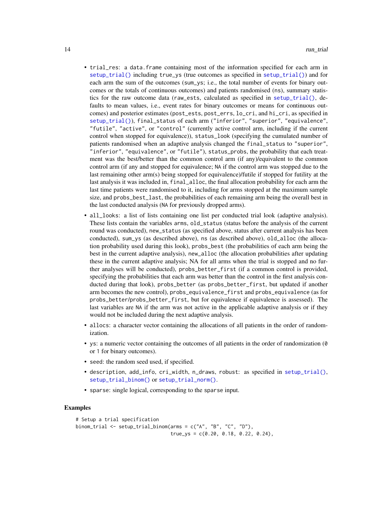- trial\_res: a data.frame containing most of the information specified for each arm in [setup\\_trial\(\)](#page-16-1) including true\_ys (true outcomes as specified in [setup\\_trial\(\)](#page-16-1)) and for each arm the sum of the outcomes (sum\_ys; i.e., the total number of events for binary outcomes or the totals of continuous outcomes) and patients randomised (ns), summary statistics for the raw outcome data (raw\_ests, calculated as specified in [setup\\_trial\(\)](#page-16-1), defaults to mean values, i.e., event rates for binary outcomes or means for continuous outcomes) and posterior estimates (post\_ests, post\_errs, lo\_cri, and hi\_cri, as specified in [setup\\_trial\(\)](#page-16-1)), final\_status of each arm ("inferior", "superior", "equivalence", "futile", "active", or "control" (currently active control arm, including if the current control when stopped for equivalence)), status\_look (specifying the cumulated number of patients randomised when an adaptive analysis changed the final\_status to "superior", "inferior", "equivalence", or "futile"), status\_probs, the probability that each treatment was the best/better than the common control arm (if any)/equivalent to the common control arm (if any and stopped for equivalence; NA if the control arm was stopped due to the last remaining other arm(s) being stopped for equivalence)/futile if stopped for futility at the last analysis it was included in, final\_alloc, the final allocation probability for each arm the last time patients were randomised to it, including for arms stopped at the maximum sample size, and probs\_best\_last, the probabilities of each remaining arm being the overall best in the last conducted analysis (NA for previously dropped arms).
- all\_looks: a list of lists containing one list per conducted trial look (adaptive analysis). These lists contain the variables arms, old\_status (status before the analysis of the current round was conducted), new\_status (as specified above, status after current analysis has been conducted), sum\_ys (as described above), ns (as described above), old\_alloc (the allocation probability used during this look), probs\_best (the probabilities of each arm being the best in the current adaptive analysis), new\_alloc (the allocation probabilities after updating these in the current adaptive analysis; NA for all arms when the trial is stopped and no further analyses will be conducted), probs\_better\_first (if a common control is provided, specifying the probabilities that each arm was better than the control in the first analysis conducted during that look), probs\_better (as probs\_better\_first, but updated if another arm becomes the new control), probs\_equivalence\_first and probs\_equivalence (as for probs\_better/probs\_better\_first, but for equivalence if equivalence is assessed). The last variables are NA if the arm was not active in the applicable adaptive analysis or if they would not be included during the next adaptive analysis.
- allocs: a character vector containing the allocations of all patients in the order of randomization.
- ys: a numeric vector containing the outcomes of all patients in the order of randomization (0 or 1 for binary outcomes).
- seed: the random seed used, if specified.
- description, add\_info, cri\_width, n\_draws, robust: as specified in [setup\\_trial\(\)](#page-16-1), [setup\\_trial\\_binom\(\)](#page-24-1) or [setup\\_trial\\_norm\(\)](#page-28-1).
- sparse: single logical, corresponding to the sparse input.

## Examples

```
# Setup a trial specification
binom_trial <- setup_trial_binom(arms = c("A", "B", "C", "D"),true_{ys} = c(0.20, 0.18, 0.22, 0.24),
```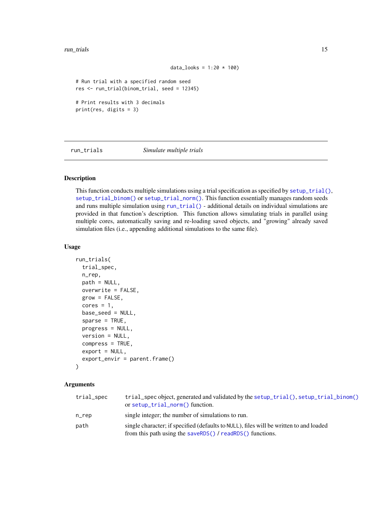#### <span id="page-14-0"></span>run\_trials 15

```
data_looks = 1:20 * 100)
```

```
# Run trial with a specified random seed
res <- run_trial(binom_trial, seed = 12345)
# Print results with 3 decimals
```
print(res, digits = 3)

<span id="page-14-1"></span>run\_trials *Simulate multiple trials*

#### Description

This function conducts multiple simulations using a trial specification as specified by [setup\\_trial\(\)](#page-16-1), [setup\\_trial\\_binom\(\)](#page-24-1) or [setup\\_trial\\_norm\(\)](#page-28-1). This function essentially manages random seeds and runs multiple simulation using [run\\_trial\(\)](#page-11-1) - additional details on individual simulations are provided in that function's description. This function allows simulating trials in parallel using multiple cores, automatically saving and re-loading saved objects, and "growing" already saved simulation files (i.e., appending additional simulations to the same file).

## Usage

```
run_trials(
  trial_spec,
 n_rep,
 path = NULL,
 overwrite = FALSE,
  grow = FALSE,
  cores = 1,
 base_seed = NULL,
  sparse = TRUE,progress = NULL,
  version = NULL,
  compress = TRUE,
  export = NULL,export_envir = parent.frame()
)
```
#### **Arguments**

| trial_spec | trial_spec object, generated and validated by the setup_trial(), setup_trial_binom()<br>or setup_trial_norm() function.                             |
|------------|-----------------------------------------------------------------------------------------------------------------------------------------------------|
| $n$ _rep   | single integer; the number of simulations to run.                                                                                                   |
| path       | single character; if specified (defaults to NULL), files will be written to and loaded<br>from this path using the saveRDS() / readRDS() functions. |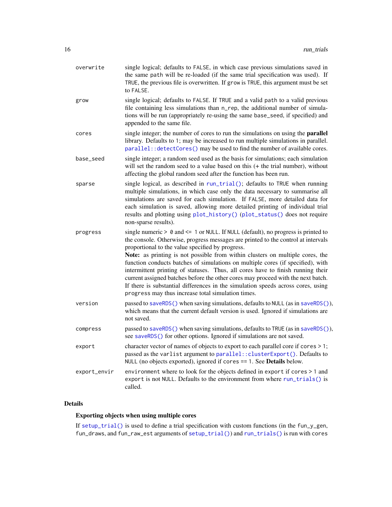<span id="page-15-0"></span>

| overwrite    | single logical; defaults to FALSE, in which case previous simulations saved in<br>the same path will be re-loaded (if the same trial specification was used). If<br>TRUE, the previous file is overwritten. If grow is TRUE, this argument must be set<br>to FALSE.                                                                                                                                                                                                                                                                                                                                                                                                                                                   |
|--------------|-----------------------------------------------------------------------------------------------------------------------------------------------------------------------------------------------------------------------------------------------------------------------------------------------------------------------------------------------------------------------------------------------------------------------------------------------------------------------------------------------------------------------------------------------------------------------------------------------------------------------------------------------------------------------------------------------------------------------|
| grow         | single logical; defaults to FALSE. If TRUE and a valid path to a valid previous<br>file containing less simulations than n_rep, the additional number of simula-<br>tions will be run (appropriately re-using the same base_seed, if specified) and<br>appended to the same file.                                                                                                                                                                                                                                                                                                                                                                                                                                     |
| cores        | single integer; the number of cores to run the simulations on using the parallel<br>library. Defaults to 1; may be increased to run multiple simulations in parallel.<br>parallel:: detectCores() may be used to find the number of available cores.                                                                                                                                                                                                                                                                                                                                                                                                                                                                  |
| base_seed    | single integer; a random seed used as the basis for simulations; each simulation<br>will set the random seed to a value based on this (+ the trial number), without<br>affecting the global random seed after the function has been run.                                                                                                                                                                                                                                                                                                                                                                                                                                                                              |
| sparse       | single logical, as described in run_trial(); defaults to TRUE when running<br>multiple simulations, in which case only the data necessary to summarise all<br>simulations are saved for each simulation. If FALSE, more detailed data for<br>each simulation is saved, allowing more detailed printing of individual trial<br>results and plotting using plot_history() (plot_status() does not require<br>non-sparse results).                                                                                                                                                                                                                                                                                       |
| progress     | single numeric $> 0$ and $\leq 1$ or NULL. If NULL (default), no progress is printed to<br>the console. Otherwise, progress messages are printed to the control at intervals<br>proportional to the value specified by progress.<br>Note: as printing is not possible from within clusters on multiple cores, the<br>function conducts batches of simulations on multiple cores (if specified), with<br>intermittent printing of statuses. Thus, all cores have to finish running their<br>current assigned batches before the other cores may proceed with the next batch.<br>If there is substantial differences in the simulation speeds across cores, using<br>progress may thus increase total simulation times. |
| version      | passed to saveRDS() when saving simulations, defaults to NULL (as in saveRDS()),<br>which means that the current default version is used. Ignored if simulations are<br>not saved.                                                                                                                                                                                                                                                                                                                                                                                                                                                                                                                                    |
| compress     | passed to saveRDS() when saving simulations, defaults to TRUE (as in saveRDS()),<br>see saveRDS() for other options. Ignored if simulations are not saved.                                                                                                                                                                                                                                                                                                                                                                                                                                                                                                                                                            |
| export       | character vector of names of objects to export to each parallel core if cores > 1;<br>passed as the varlist argument to parallel:: clusterExport(). Defaults to<br>NULL (no objects exported), ignored if cores == 1. See Details below.                                                                                                                                                                                                                                                                                                                                                                                                                                                                              |
| export_envir | environment where to look for the objects defined in export if cores > 1 and<br>export is not NULL. Defaults to the environment from where run_trials() is<br>called.                                                                                                                                                                                                                                                                                                                                                                                                                                                                                                                                                 |

## Details

## Exporting objects when using multiple cores

If [setup\\_trial\(\)](#page-16-1) is used to define a trial specification with custom functions (in the fun\_y\_gen, fun\_draws, and fun\_raw\_est arguments of [setup\\_trial\(\)](#page-16-1)) and [run\\_trials\(\)](#page-14-1) is run with cores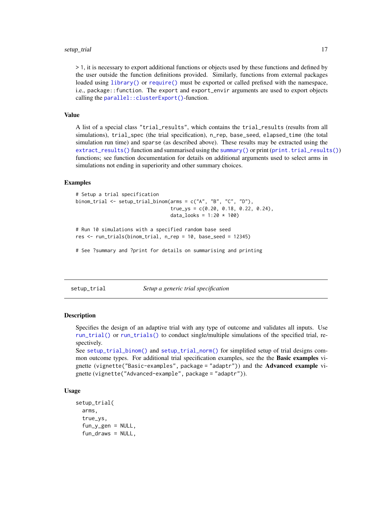<span id="page-16-0"></span>> 1, it is necessary to export additional functions or objects used by these functions and defined by the user outside the function definitions provided. Similarly, functions from external packages loaded using [library\(\)](#page-0-0) or [require\(\)](#page-0-0) must be exported or called prefixed with the namespace, i.e., package::function. The export and export\_envir arguments are used to export objects calling the [parallel::clusterExport\(\)](#page-0-0)-function.

#### Value

A list of a special class "trial\_results", which contains the trial\_results (results from all simulations), trial\_spec (the trial specification), n\_rep, base\_seed, elapsed\_time (the total simulation run time) and sparse (as described above). These results may be extracted using the  $extract\_results()$  function and summarised using the [summary\(\)](#page-33-1) or print ([print.trial\\_results\(\)](#page-8-2)) functions; see function documentation for details on additional arguments used to select arms in simulations not ending in superiority and other summary choices.

## **Examples**

```
# Setup a trial specification
binom_trial <- setup_trial_binom(arms = c("A", "B", "C", "D"),
                                 true_{ys} = c(0.20, 0.18, 0.22, 0.24),data\_books = 1:20 * 100
```

```
# Run 10 simulations with a specified random base seed
res <- run_trials(binom_trial, n_rep = 10, base_seed = 12345)
```
# See ?summary and ?print for details on summarising and printing

<span id="page-16-1"></span>setup\_trial *Setup a generic trial specification*

#### Description

Specifies the design of an adaptive trial with any type of outcome and validates all inputs. Use [run\\_trial\(\)](#page-11-1) or [run\\_trials\(\)](#page-14-1) to conduct single/multiple simulations of the specified trial, respectively.

```
See setup_trial_binom() and setup_trial_norm() for simplified setup of trial designs com-
mon outcome types. For additional trial specification examples, see the the Basic examples vi-
gnette (vignette("Basic-examples", package = "adaptr")) and the Advanced example vi-
gnette (vignette("Advanced-example", package = "adaptr")).
```
#### Usage

```
setup_trial(
  arms,
  true_ys,
  fun_y_{gen} = NULL,fun_draws = NULL,
```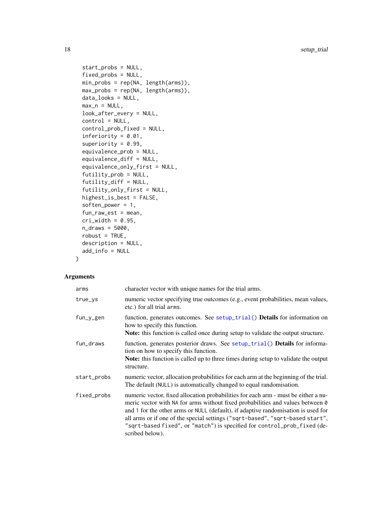```
start_probs = NULL,
 fixed_probs = NULL,
 min_probs = rep(NA, length(arms)),
 max_probs = rep(NA, length(arms)),
 data_looks = NULL,
 max_n = NULL,look_after_every = NULL,
  control = NULL,
  control_prob_fixed = NULL,
  inferiority = 0.01,
  superiority = 0.99,
  equivalence_prob = NULL,
  equivalence_diff = NULL,
  equivalence_only_first = NULL,
  futility_prob = NULL,
  futility_diff = NULL,
  futility_only_first = NULL,
 highest_is_best = FALSE,
  soften_power = 1,
  fun_raw_est = mean,
 cri\_width = 0.95,n_draws = 5000,
 robust = TRUE,
 description = NULL,
 add_info = NULL
\mathcal{L}
```
## Arguments

| arms        | character vector with unique names for the trial arms.                                                                                                                                                                                                                                                                                                                                                                                    |
|-------------|-------------------------------------------------------------------------------------------------------------------------------------------------------------------------------------------------------------------------------------------------------------------------------------------------------------------------------------------------------------------------------------------------------------------------------------------|
| true_ys     | numeric vector specifying true outcomes (e.g., event probabilities, mean values,<br>etc.) for all trial arms.                                                                                                                                                                                                                                                                                                                             |
| fun_y_gen   | function, generates outcomes. See setup_trial() Details for information on<br>how to specify this function.<br>Note: this function is called once during setup to validate the output structure.                                                                                                                                                                                                                                          |
| fun_draws   | function, generates posterior draws. See setup_trial() Details for informa-<br>tion on how to specify this function.<br>Note: this function is called up to three times during setup to validate the output<br>structure.                                                                                                                                                                                                                 |
| start_probs | numeric vector, allocation probabilities for each arm at the beginning of the trial.<br>The default (NULL) is automatically changed to equal randomisation.                                                                                                                                                                                                                                                                               |
| fixed_probs | numeric vector, fixed allocation probabilities for each arm - must be either a nu-<br>meric vector with NA for arms without fixed probabilities and values between 0<br>and 1 for the other arms or NULL (default), if adaptive randomisation is used for<br>all arms or if one of the special settings ("sqrt-based", "sqrt-based start",<br>"sqrt-based fixed", or "match") is specified for control_prob_fixed (de-<br>scribed below). |

<span id="page-17-0"></span>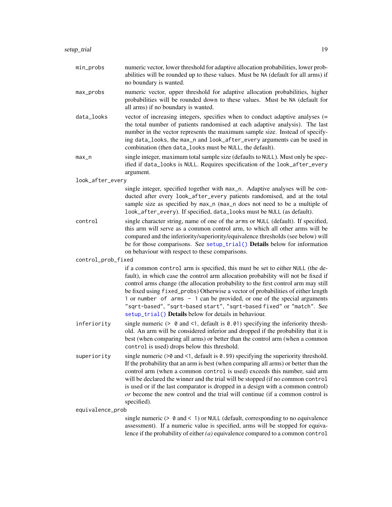- <span id="page-18-0"></span>min\_probs numeric vector, lower threshold for adaptive allocation probabilities, lower probabilities will be rounded up to these values. Must be NA (default for all arms) if no boundary is wanted.
- max\_probs numeric vector, upper threshold for adaptive allocation probabilities, higher probabilities will be rounded down to these values. Must be NA (default for all arms) if no boundary is wanted.
- data\_looks vector of increasing integers, specifies when to conduct adaptive analyses (= the total number of patients randomised at each adaptive analysis). The last number in the vector represents the maximum sample size. Instead of specifying data\_looks, the max\_n and look\_after\_every arguments can be used in combination (then data\_looks must be NULL, the default).
- max<sub>rim</sub> single integer, maximum total sample size (defaults to NULL). Must only be specified if data\_looks is NULL. Requires specification of the look\_after\_every argument.

look\_after\_every

- single integer, specified together with max\_n. Adaptive analyses will be conducted after every look\_after\_every patients randomised, and at the total sample size as specified by max\_n (max\_n does not need to be a multiple of look\_after\_every). If specified, data\_looks must be NULL (as default).
- control single character string, name of one of the arms or NULL (default). If specified, this arm will serve as a common control arm, to which all other arms will be compared and the inferiority/superiority/equivalence thresholds (see below) will be for those comparisons. See [setup\\_trial\(\)](#page-16-1) Details below for information on behaviour with respect to these comparisons.

control\_prob\_fixed

if a common control arm is specified, this must be set to either NULL (the default), in which case the control arm allocation probability will not be fixed if control arms change (the allocation probability to the first control arm may still be fixed using fixed\_probs) Otherwise a vector of probabilities of either length 1 or number of arms - 1 can be provided, or one of the special arguments "sqrt-based", "sqrt-based start", "sqrt-based fixed" or "match". See [setup\\_trial\(\)](#page-16-1) Details below for details in behaviour.

- inferiority single numeric ( $> 0$  and  $\leq 1$ , default is 0.01) specifying the inferiority threshold. An arm will be considered inferior and dropped if the probability that it is best (when comparing all arms) or better than the control arm (when a common control is used) drops below this threshold.
- superiority single numeric  $(>0$  and <1, default is 0.99) specifying the superiority threshold. If the probability that an arm is best (when comparing all arms) or better than the control arm (when a common control is used) exceeds this number, said arm will be declared the winner and the trial will be stopped (if no common control is used or if the last comparator is dropped in a design with a common control) *or* become the new control and the trial will continue (if a common control is specified).

equivalence\_prob

single numeric ( $> 0$  and  $< 1$ ) or NULL (default, corresponding to no equivalence assessment). If a numeric value is specified, arms will be stopped for equivalence if the probability of either *(a)* equivalence compared to a common control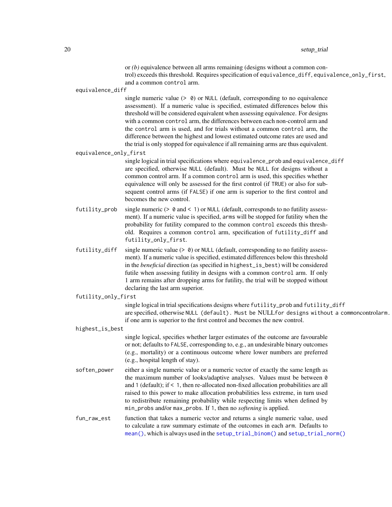#### <span id="page-19-0"></span>20 setup\_trial control of the control of the control of the control of the control of the control of the control of the control of the control of the control of the control of the control of the control of the control of t

or *(b)* equivalence between all arms remaining (designs without a common control) exceeds this threshold. Requires specification of equivalence\_diff, equivalence\_only\_first, and a common control arm.

equivalence\_diff

single numeric value  $(> 0)$  or NULL (default, corresponding to no equivalence assessment). If a numeric value is specified, estimated differences below this threshold will be considered equivalent when assessing equivalence. For designs with a common control arm, the differences between each non-control arm and the control arm is used, and for trials without a common control arm, the difference between the highest and lowest estimated outcome rates are used and the trial is only stopped for equivalence if all remaining arms are thus equivalent.

equivalence\_only\_first

single logical in trial specifications where equivalence\_prob and equivalence\_diff are specified, otherwise NULL (default). Must be NULL for designs without a common control arm. If a common control arm is used, this specifies whether equivalence will only be assessed for the first control (if TRUE) or also for subsequent control arms (if FALSE) if one arm is superior to the first control and becomes the new control.

- futility\_prob single numeric  $(0, 0, 0)$  and  $(0, 1)$  or NULL (default, corresponds to no futility assessment). If a numeric value is specified, arms will be stopped for futility when the probability for futility compared to the common control exceeds this threshold. Requires a common control arm, specification of futility\_diff and futility\_only\_first.
- futility\_diff single numeric value (> 0) or NULL (default, corresponding to no futility assessment). If a numeric value is specified, estimated differences below this threshold in the *beneficial* direction (as specified in highest\_is\_best) will be considered futile when assessing futility in designs with a common control arm. If only 1 arm remains after dropping arms for futility, the trial will be stopped without declaring the last arm superior.

#### futility\_only\_first

single logical in trial specifications designs where futility\_prob and futility\_diff are specified, otherwise NULL (default). Must be NULLfor designs without a commoncontrolarm. if one arm is superior to the first control and becomes the new control.

highest\_is\_best

single logical, specifies whether larger estimates of the outcome are favourable or not; defaults to FALSE, corresponding to, e.g., an undesirable binary outcomes (e.g., mortality) or a continuous outcome where lower numbers are preferred (e.g., hospital length of stay).

soften\_power either a single numeric value or a numeric vector of exactly the same length as the maximum number of looks/adaptive analyses. Values must be between 0 and 1 (default); if < 1, then re-allocated non-fixed allocation probabilities are all raised to this power to make allocation probabilities less extreme, in turn used to redistribute remaining probability while respecting limits when defined by min\_probs and/or max\_probs. If 1, then no *softening* is applied.

fun\_raw\_est function that takes a numeric vector and returns a single numeric value, used to calculate a raw summary estimate of the outcomes in each arm. Defaults to [mean\(\)](#page-0-0), which is always used in the [setup\\_trial\\_binom\(\)](#page-24-1) and [setup\\_trial\\_norm\(\)](#page-28-1)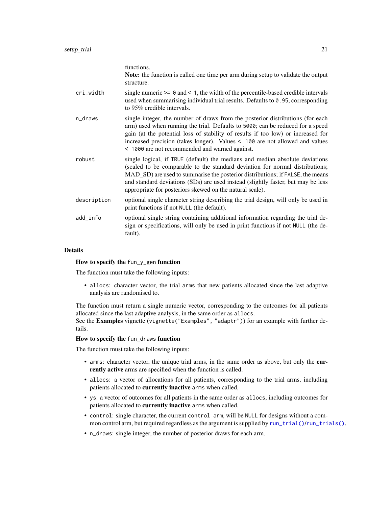<span id="page-20-0"></span>

|             | functions.<br>Note: the function is called one time per arm during setup to validate the output<br>structure.                                                                                                                                                                                                                                                                                  |
|-------------|------------------------------------------------------------------------------------------------------------------------------------------------------------------------------------------------------------------------------------------------------------------------------------------------------------------------------------------------------------------------------------------------|
| cri_width   | single numeric $\geq 0$ and $\leq 1$ , the width of the percentile-based credible intervals<br>used when summarising individual trial results. Defaults to 0.95, corresponding<br>to 95% credible intervals.                                                                                                                                                                                   |
| n_draws     | single integer, the number of draws from the posterior distributions (for each<br>arm) used when running the trial. Defaults to 5000; can be reduced for a speed<br>gain (at the potential loss of stability of results if too low) or increased for<br>increased precision (takes longer). Values < 100 are not allowed and values<br>< 1000 are not recommended and warned against.          |
| robust      | single logical, if TRUE (default) the medians and median absolute deviations<br>(scaled to be comparable to the standard deviation for normal distributions;<br>MAD_SD) are used to summarise the posterior distributions; if FALSE, the means<br>and standard deviations (SDs) are used instead (slightly faster, but may be less<br>appropriate for posteriors skewed on the natural scale). |
| description | optional single character string describing the trial design, will only be used in<br>print functions if not NULL (the default).                                                                                                                                                                                                                                                               |
| add_info    | optional single string containing additional information regarding the trial de-<br>sign or specifications, will only be used in print functions if not NULL (the de-<br>fault).                                                                                                                                                                                                               |

#### Details

#### How to specify the fun\_y\_gen function

The function must take the following inputs:

• allocs: character vector, the trial arms that new patients allocated since the last adaptive analysis are randomised to.

The function must return a single numeric vector, corresponding to the outcomes for all patients allocated since the last adaptive analysis, in the same order as allocs.

See the Examples vignette (vignette("Examples", "adaptr")) for an example with further details.

#### How to specify the fun\_draws function

The function must take the following inputs:

- arms: character vector, the unique trial arms, in the same order as above, but only the currently active arms are specified when the function is called.
- allocs: a vector of allocations for all patients, corresponding to the trial arms, including patients allocated to currently inactive arms when called,
- ys: a vector of outcomes for all patients in the same order as allocs, including outcomes for patients allocated to currently inactive arms when called.
- control: single character, the current control arm, will be NULL for designs without a common control arm, but required regardless as the argument is supplied by [run\\_trial\(\)](#page-11-1)/[run\\_trials\(\)](#page-14-1).
- n\_draws: single integer, the number of posterior draws for each arm.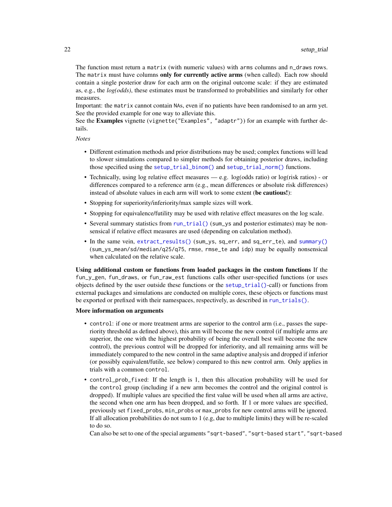<span id="page-21-0"></span>The function must return a matrix (with numeric values) with arms columns and n\_draws rows. The matrix must have columns only for currently active arms (when called). Each row should contain a single posterior draw for each arm on the original outcome scale: if they are estimated as, e.g., the *log(odds)*, these estimates must be transformed to probabilities and similarly for other measures.

Important: the matrix cannot contain NAs, even if no patients have been randomised to an arm yet. See the provided example for one way to alleviate this.

See the Examples vignette (vignette("Examples", "adaptr")) for an example with further details.

*Notes*

- Different estimation methods and prior distributions may be used; complex functions will lead to slower simulations compared to simpler methods for obtaining posterior draws, including those specified using the [setup\\_trial\\_binom\(\)](#page-24-1) and [setup\\_trial\\_norm\(\)](#page-28-1) functions.
- Technically, using log relative effect measures e.g. log(odds ratio) or log(risk ratios) or differences compared to a reference arm (e.g., mean differences or absolute risk differences) instead of absolute values in each arm will work to some extent (be cautious!):
- Stopping for superiority/inferiority/max sample sizes will work.
- Stopping for equivalence/futility may be used with relative effect measures on the log scale.
- Several summary statistics from [run\\_trial\(\)](#page-11-1) (sum\_ys and posterior estimates) may be nonsensical if relative effect measures are used (depending on calculation method).
- In the same vein, [extract\\_results\(\)](#page-2-1) (sum\_ys, sq\_err, and sq\_err\_te), and [summary\(\)](#page-33-1) (sum\_ys\_mean/sd/median/q25/q75, rmse, rmse\_te and idp) may be equally nonsensical when calculated on the relative scale.

Using additional custom or functions from loaded packages in the custom functions If the fun\_y\_gen, fun\_draws, or fun\_raw\_est functions calls other user-specified functions (or uses objects defined by the user outside these functions or the [setup\\_trial\(\)](#page-16-1)-call) or functions from external packages and simulations are conducted on multiple cores, these objects or functions must be exported or prefixed with their namespaces, respectively, as described in [run\\_trials\(\)](#page-14-1).

#### More information on arguments

- control: if one or more treatment arms are superior to the control arm (i.e., passes the superiority threshold as defined above), this arm will become the new control (if multiple arms are superior, the one with the highest probability of being the overall best will become the new control), the previous control will be dropped for inferiority, and all remaining arms will be immediately compared to the new control in the same adaptive analysis and dropped if inferior (or possibly equivalent/futile, see below) compared to this new control arm. Only applies in trials with a common control.
- control\_prob\_fixed: If the length is 1, then this allocation probability will be used for the control group (including if a new arm becomes the control and the original control is dropped). If multiple values are specified the first value will be used when all arms are active, the second when one arm has been dropped, and so forth. If 1 or more values are specified, previously set fixed\_probs, min\_probs or max\_probs for new control arms will be ignored. If all allocation probabilities do not sum to 1 (e.g, due to multiple limits) they will be re-scaled to do so.

Can also be set to one of the special arguments "sqrt-based", "sqrt-based start", "sqrt-based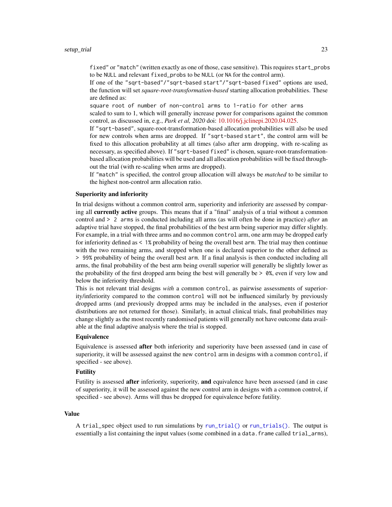<span id="page-22-0"></span>fixed" or "match" (written exactly as one of those, case sensitive). This requires start\_probs to be NULL and relevant fixed\_probs to be NULL (or NA for the control arm).

If one of the "sqrt-based"/"sqrt-based start"/"sqrt-based fixed" options are used, the function will set *square-root-transformation-based* starting allocation probabilities. These are defined as:

square root of number of non-control arms to 1-ratio for other arms scaled to sum to 1, which will generally increase power for comparisons against the common control, as discussed in, e.g., *Park et al, 2020* doi: [10.1016/j.jclinepi.2020.04.025.](https://doi.org/10.1016/j.jclinepi.2020.04.025)

If "sqrt-based", square-root-transformation-based allocation probabilities will also be used for new controls when arms are dropped. If "sqrt-based start", the control arm will be fixed to this allocation probability at all times (also after arm dropping, with re-scaling as necessary, as specified above). If "sqrt-based fixed" is chosen, square-root-transformationbased allocation probabilities will be used and all allocation probabilities will be fixed throughout the trial (with re-scaling when arms are dropped).

If "match" is specified, the control group allocation will always be *matched* to be similar to the highest non-control arm allocation ratio.

#### Superiority and inferiority

In trial designs without a common control arm, superiority and inferiority are assessed by comparing all currently active groups. This means that if a "final" analysis of a trial without a common control and > 2 arms is conducted including all arms (as will often be done in practice) *after* an adaptive trial have stopped, the final probabilities of the best arm being superior may differ slightly. For example, in a trial with three arms and no common control arm, one arm may be dropped early for inferiority defined as < 1% probability of being the overall best arm. The trial may then continue with the two remaining arms, and stopped when one is declared superior to the other defined as > 99% probability of being the overall best arm. If a final analysis is then conducted including all arms, the final probability of the best arm being overall superior will generally be slightly lower as the probability of the first dropped arm being the best will generally be  $> 0\%$ , even if very low and below the inferiority threshold.

This is not relevant trial designs *with* a common control, as pairwise assessments of superiority/inferiority compared to the common control will not be influenced similarly by previously dropped arms (and previously dropped arms may be included in the analyses, even if posterior distributions are not returned for those). Similarly, in actual clinical trials, final probabilities may change slightly as the most recently randomised patients will generally not have outcome data available at the final adaptive analysis where the trial is stopped.

#### **Equivalence**

Equivalence is assessed **after** both inferiority and superiority have been assessed (and in case of superiority, it will be assessed against the new control arm in designs with a common control, if specified - see above).

#### Futility

Futility is assessed after inferiority, superiority, and equivalence have been assessed (and in case of superiority, it will be assessed against the new control arm in designs with a common control, if specified - see above). Arms will thus be dropped for equivalence before futility.

#### Value

A trial\_spec object used to run simulations by [run\\_trial\(\)](#page-11-1) or [run\\_trials\(\)](#page-14-1). The output is essentially a list containing the input values (some combined in a data. frame called trial\_arms),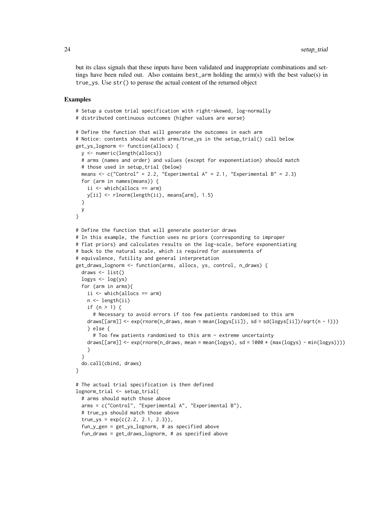but its class signals that these inputs have been validated and inappropriate combinations and settings have been ruled out. Also contains best\_arm holding the arm $(s)$  with the best value $(s)$  in true\_ys. Use str() to peruse the actual content of the returned object

#### Examples

```
# Setup a custom trial specification with right-skewed, log-normally
# distributed continuous outcomes (higher values are worse)
# Define the function that will generate the outcomes in each arm
# Notice: contents should match arms/true_ys in the setup_trial() call below
get_ys_lognorm <- function(allocs) {
 y <- numeric(length(allocs))
 # arms (names and order) and values (except for exponentiation) should match
 # those used in setup_trial (below)
 means \leq c("Control" = 2.2, "Experimental A" = 2.1, "Experimental B" = 2.3)
 for (arm in names(means)) {
    ii \leftarrow \text{which}(\text{allows} == \text{arm})y[ii] <- rlnorm(length(ii), means[arm], 1.5)
 }
 y
}
# Define the function that will generate posterior draws
# In this example, the function uses no priors (corresponding to improper
# flat priors) and calculates results on the log-scale, before exponentiating
# back to the natural scale, which is required for assessments of
# equivalence, futility and general interpretation
get_draws_lognorm <- function(arms, allocs, ys, control, n_draws) {
 draws \leq - list()
 \logys <- \log(ys)for (arm in arms){
    ii \le which(allocs == arm)
    n <- length(ii)
    if (n > 1) {
      # Necessary to avoid errors if too few patients randomised to this arm
    draws[[arm]] <- exp(rnorm(n_draws, mean = mean(logys[ii]), sd = sd(logys[ii])/sqrt(n - 1)))
    } else {
      # Too few patients randomised to this arm - extreme uncertainty
    draws[[arm]] \leq exp(rnorm(n_draws, mean = mean(logys), sd = 1000 \star (max(logys) - min(logys))))
    }
 }
 do.call(cbind, draws)
}
# The actual trial specification is then defined
lognorm_trial <- setup_trial(
 # arms should match those above
 arms = c("Control", "Experimental A", "Experimental B"),
 # true_ys should match those above
 true_ys = exp(c(2.2, 2.1, 2.3)),fun_y_gen = get_ys_lognorm, # as specified above
 fun_draws = get_draws_lognorm, # as specified above
```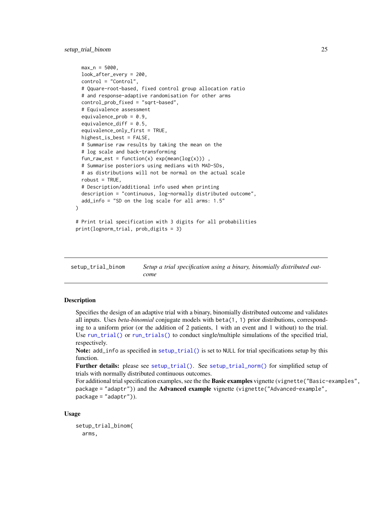```
max_n = 5000,
 look_after_every = 200,
 control = "Control",
 # Qquare-root-based, fixed control group allocation ratio
 # and response-adaptive randomisation for other arms
 control_prob_fixed = "sqrt-based",
 # Equivalence assessment
 equivalence_prob = 0.9,
 equivalence_diff = 0.5,
 equivalence_only_first = TRUE,
 highest_is_best = FALSE,
 # Summarise raw results by taking the mean on the
 # log scale and back-transforming
 fun_raw_est = function(x) exp(mean(log(x))),
 # Summarise posteriors using medians with MAD-SDs,
 # as distributions will not be normal on the actual scale
 robust = TRUE.
 # Description/additional info used when printing
 description = "continuous, log-normally distributed outcome",
 add_info = "SD on the log scale for all arms: 1.5"
# Print trial specification with 3 digits for all probabilities
print(lognorm_trial, prob_digits = 3)
```
<span id="page-24-1"></span>setup\_trial\_binom *Setup a trial specification using a binary, binomially distributed outcome*

#### Description

)

Specifies the design of an adaptive trial with a binary, binomially distributed outcome and validates all inputs. Uses *beta-binomial* conjugate models with beta(1, 1) prior distributions, corresponding to a uniform prior (or the addition of 2 patients, 1 with an event and 1 without) to the trial. Use [run\\_trial\(\)](#page-11-1) or [run\\_trials\(\)](#page-14-1) to conduct single/multiple simulations of the specified trial, respectively.

Note: add\_info as specified in [setup\\_trial\(\)](#page-16-1) is set to NULL for trial specifications setup by this function.

Further details: please see [setup\\_trial\(\)](#page-16-1). See [setup\\_trial\\_norm\(\)](#page-28-1) for simplified setup of trials with normally distributed continuous outcomes.

For additional trial specification examples, see the the Basic examples vignette (vignette("Basic-examples", package = "adaptr")) and the **Advanced example** vignette (vignette("Advanced-example", package = "adaptr")).

#### Usage

```
setup_trial_binom(
 arms,
```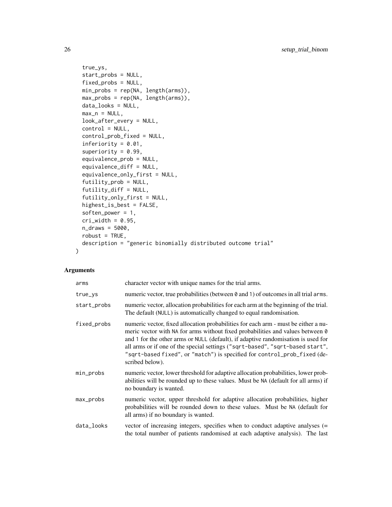```
true_ys,
  start_probs = NULL,
 fixed_probs = NULL,
 min_probs = rep(NA, length(arms)),
 max_probs = rep(NA, length(arms)),
 data_looks = NULL,
 max_n = NULL,look_after_every = NULL,
  control = NULL,control_prob_fixed = NULL,
  inferiority = 0.01,
  superiority = 0.99,
  equivalence_prob = NULL,
  equivalence_diff = NULL,
  equivalence_only_first = NULL,
  futility_prob = NULL,
  futility_diff = NULL,
  futility_only_first = NULL,
  highest_is_best = FALSE,
  soften_power = 1,
 cri\_width = 0.95,n_draws = 5000,
 robust = TRUE,
 description = "generic binomially distributed outcome trial"
\mathcal{L}
```
#### Arguments

| arms        | character vector with unique names for the trial arms.                                                                                                                                                                                                                                                                                                                                                                                    |
|-------------|-------------------------------------------------------------------------------------------------------------------------------------------------------------------------------------------------------------------------------------------------------------------------------------------------------------------------------------------------------------------------------------------------------------------------------------------|
| $true_{ys}$ | numeric vector, true probabilities (between 0 and 1) of outcomes in all trial arms.                                                                                                                                                                                                                                                                                                                                                       |
| start_probs | numeric vector, allocation probabilities for each arm at the beginning of the trial.<br>The default (NULL) is automatically changed to equal randomisation.                                                                                                                                                                                                                                                                               |
| fixed_probs | numeric vector, fixed allocation probabilities for each arm - must be either a nu-<br>meric vector with NA for arms without fixed probabilities and values between 0<br>and 1 for the other arms or NULL (default), if adaptive randomisation is used for<br>all arms or if one of the special settings ("sqrt-based", "sqrt-based start",<br>"sqrt-based fixed", or "match") is specified for control_prob_fixed (de-<br>scribed below). |
| min_probs   | numeric vector, lower threshold for adaptive allocation probabilities, lower prob-<br>abilities will be rounded up to these values. Must be NA (default for all arms) if<br>no boundary is wanted.                                                                                                                                                                                                                                        |
| max_probs   | numeric vector, upper threshold for adaptive allocation probabilities, higher<br>probabilities will be rounded down to these values. Must be NA (default for<br>all arms) if no boundary is wanted.                                                                                                                                                                                                                                       |
| data_looks  | vector of increasing integers, specifies when to conduct adaptive analyses $(=$<br>the total number of patients randomised at each adaptive analysis). The last                                                                                                                                                                                                                                                                           |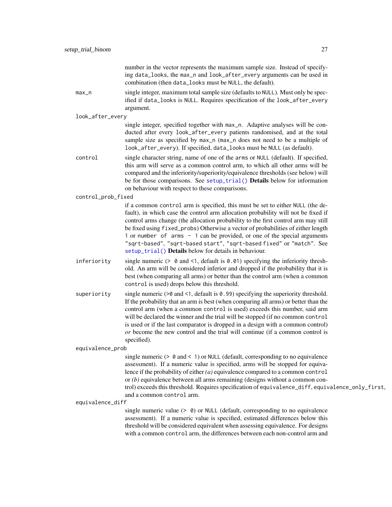number in the vector represents the maximum sample size. Instead of specifying data\_looks, the max\_n and look\_after\_every arguments can be used in combination (then data\_looks must be NULL, the default).

<span id="page-26-0"></span>max\_n single integer, maximum total sample size (defaults to NULL). Must only be specified if data\_looks is NULL. Requires specification of the look\_after\_every argument.

look\_after\_every

single integer, specified together with max\_n. Adaptive analyses will be conducted after every look\_after\_every patients randomised, and at the total sample size as specified by max\_n (max\_n does not need to be a multiple of look\_after\_every). If specified, data\_looks must be NULL (as default).

control single character string, name of one of the arms or NULL (default). If specified, this arm will serve as a common control arm, to which all other arms will be compared and the inferiority/superiority/equivalence thresholds (see below) will be for those comparisons. See [setup\\_trial\(\)](#page-16-1) **Details** below for information on behaviour with respect to these comparisons.

control\_prob\_fixed

if a common control arm is specified, this must be set to either NULL (the default), in which case the control arm allocation probability will not be fixed if control arms change (the allocation probability to the first control arm may still be fixed using fixed\_probs) Otherwise a vector of probabilities of either length 1 or number of arms - 1 can be provided, or one of the special arguments "sqrt-based", "sqrt-based start", "sqrt-based fixed" or "match". See [setup\\_trial\(\)](#page-16-1) Details below for details in behaviour.

- inferiority single numeric ( $> 0$  and  $\leq 1$ , default is 0.01) specifying the inferiority threshold. An arm will be considered inferior and dropped if the probability that it is best (when comparing all arms) or better than the control arm (when a common control is used) drops below this threshold.
- superiority single numeric  $\geq 0$  and  $\leq 1$ , default is 0.99) specifying the superiority threshold. If the probability that an arm is best (when comparing all arms) or better than the control arm (when a common control is used) exceeds this number, said arm will be declared the winner and the trial will be stopped (if no common control is used or if the last comparator is dropped in a design with a common control) *or* become the new control and the trial will continue (if a common control is specified).

equivalence\_prob

single numeric ( $> 0$  and  $< 1$ ) or NULL (default, corresponding to no equivalence assessment). If a numeric value is specified, arms will be stopped for equivalence if the probability of either *(a)* equivalence compared to a common control or *(b)* equivalence between all arms remaining (designs without a common control) exceeds this threshold. Requires specification of equivalence\_diff, equivalence\_only\_first, and a common control arm.

equivalence\_diff

single numeric value  $(> 0)$  or NULL (default, corresponding to no equivalence assessment). If a numeric value is specified, estimated differences below this threshold will be considered equivalent when assessing equivalence. For designs with a common control arm, the differences between each non-control arm and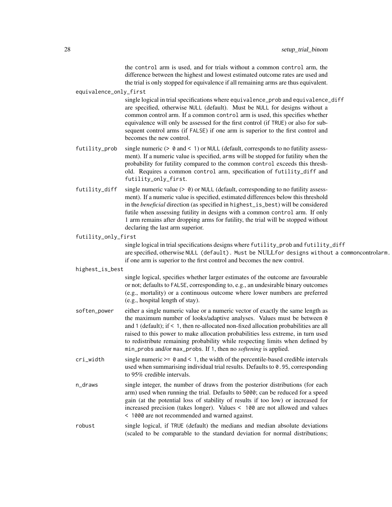the control arm is used, and for trials without a common control arm, the difference between the highest and lowest estimated outcome rates are used and the trial is only stopped for equivalence if all remaining arms are thus equivalent.

equivalence\_only\_first

single logical in trial specifications where equivalence\_prob and equivalence\_diff are specified, otherwise NULL (default). Must be NULL for designs without a common control arm. If a common control arm is used, this specifies whether equivalence will only be assessed for the first control (if TRUE) or also for subsequent control arms (if FALSE) if one arm is superior to the first control and becomes the new control.

- futility\_prob single numeric  $(> 0 \text{ and } < 1)$  or NULL (default, corresponds to no futility assessment). If a numeric value is specified, arms will be stopped for futility when the probability for futility compared to the common control exceeds this threshold. Requires a common control arm, specification of futility\_diff and futility\_only\_first.
- futility\_diff single numeric value (> 0) or NULL (default, corresponding to no futility assessment). If a numeric value is specified, estimated differences below this threshold in the *beneficial* direction (as specified in highest\_is\_best) will be considered futile when assessing futility in designs with a common control arm. If only 1 arm remains after dropping arms for futility, the trial will be stopped without declaring the last arm superior.

#### futility\_only\_first

single logical in trial specifications designs where futility\_prob and futility\_diff are specified, otherwise NULL (default). Must be NULLfor designs without a commoncontrolarm. if one arm is superior to the first control and becomes the new control.

#### highest\_is\_best

single logical, specifies whether larger estimates of the outcome are favourable or not; defaults to FALSE, corresponding to, e.g., an undesirable binary outcomes (e.g., mortality) or a continuous outcome where lower numbers are preferred (e.g., hospital length of stay).

- soften\_power either a single numeric value or a numeric vector of exactly the same length as the maximum number of looks/adaptive analyses. Values must be between 0 and 1 (default); if < 1, then re-allocated non-fixed allocation probabilities are all raised to this power to make allocation probabilities less extreme, in turn used to redistribute remaining probability while respecting limits when defined by min\_probs and/or max\_probs. If 1, then no *softening* is applied.
- cri\_width single numeric  $>= 0$  and  $< 1$ , the width of the percentile-based credible intervals used when summarising individual trial results. Defaults to 0.95, corresponding to 95% credible intervals.
- n\_draws single integer, the number of draws from the posterior distributions (for each arm) used when running the trial. Defaults to 5000; can be reduced for a speed gain (at the potential loss of stability of results if too low) or increased for increased precision (takes longer). Values < 100 are not allowed and values < 1000 are not recommended and warned against.
- robust single logical, if TRUE (default) the medians and median absolute deviations (scaled to be comparable to the standard deviation for normal distributions;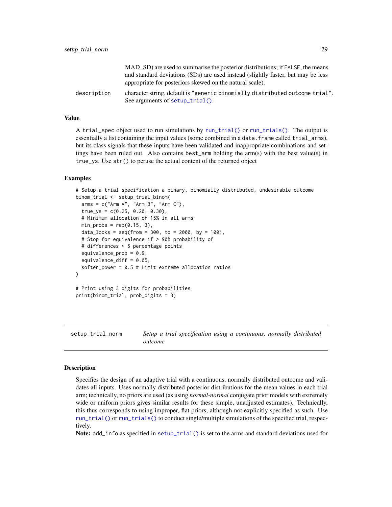<span id="page-28-0"></span>

|             | MAD SD) are used to summarise the posterior distributions; if FALSE, the means<br>and standard deviations (SDs) are used instead (slightly faster, but may be less<br>appropriate for posteriors skewed on the natural scale). |
|-------------|--------------------------------------------------------------------------------------------------------------------------------------------------------------------------------------------------------------------------------|
| description | character string, default is "generic binomially distributed outcome trial".<br>See arguments of setup_trial().                                                                                                                |

### Value

A trial\_spec object used to run simulations by [run\\_trial\(\)](#page-11-1) or [run\\_trials\(\)](#page-14-1). The output is essentially a list containing the input values (some combined in a data. frame called trial\_arms), but its class signals that these inputs have been validated and inappropriate combinations and settings have been ruled out. Also contains best\_arm holding the arm(s) with the best value(s) in true\_ys. Use str() to peruse the actual content of the returned object

#### Examples

```
# Setup a trial specification a binary, binomially distributed, undesirable outcome
binom_trial <- setup_trial_binom(
 arms = c("Arm A", "Arm B", "Arm C"),true_ys = c(0.25, 0.20, 0.30),
 # Minimum allocation of 15% in all arms
 min\_probs = rep(0.15, 3),data_looks = seq(from = 300, to = 2000, by = 100),
 # Stop for equivalence if > 90% probability of
 # differences < 5 percentage points
 equivalence_prob = 0.9,
 equivalence_diff = 0.05,
 soften_power = 0.5 # Limit extreme allocation ratios
)
# Print using 3 digits for probabilities
print(binom_trial, prob_digits = 3)
```
<span id="page-28-1"></span>setup\_trial\_norm *Setup a trial specification using a continuous, normally distributed outcome*

#### Description

Specifies the design of an adaptive trial with a continuous, normally distributed outcome and validates all inputs. Uses normally distributed posterior distributions for the mean values in each trial arm; technically, no priors are used (as using *normal-normal* conjugate prior models with extremely wide or uniform priors gives similar results for these simple, unadjusted estimates). Technically, this thus corresponds to using improper, flat priors, although not explicitly specified as such. Use [run\\_trial\(\)](#page-11-1) or [run\\_trials\(\)](#page-14-1) to conduct single/multiple simulations of the specified trial, respectively.

Note: add\_info as specified in [setup\\_trial\(\)](#page-16-1) is set to the arms and standard deviations used for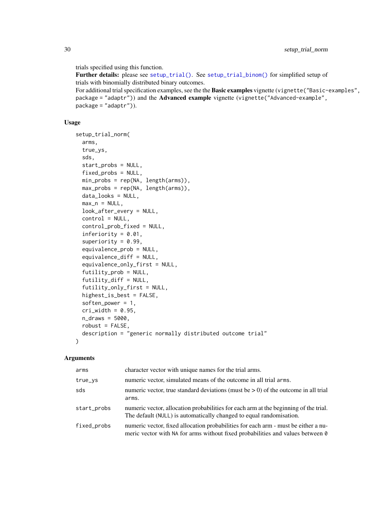<span id="page-29-0"></span>trials specified using this function.

Further details: please see [setup\\_trial\(\)](#page-16-1). See [setup\\_trial\\_binom\(\)](#page-24-1) for simplified setup of trials with binomially distributed binary outcomes. For additional trial specification examples, see the the Basic examples vignette (vignette("Basic-examples", package = "adaptr")) and the **Advanced example** vignette (vignette("Advanced-example", package = "adaptr")).

#### Usage

```
setup_trial_norm(
  arms,
  true_ys,
  sds,
  start_probs = NULL,
  fixed_probs = NULL,
 min\_probs = rep(NA, length(arms)),max\_probs = rep(NA, length(arms)),data_looks = NULL,
 max_n = NULL,look_after_every = NULL,
  control = NULL,
  control_prob_fixed = NULL,
  inferiority = 0.01,
  superiority = 0.99,
  equivalence_prob = NULL,
  equivalence_diff = NULL,
  equivalence_only_first = NULL,
  futility_prob = NULL,futility_diff = NULL,
  futility_only_first = NULL,
  highest_is_best = FALSE,
  soften_power = 1,
  cri\_width = 0.95,
 n_draws = 5000,
 robust = FALSE,description = "generic normally distributed outcome trial"
)
```
### Arguments

| arms        | character vector with unique names for the trial arms.                                                                                                               |
|-------------|----------------------------------------------------------------------------------------------------------------------------------------------------------------------|
| true_ys     | numeric vector, simulated means of the outcome in all trial arms.                                                                                                    |
| sds         | numeric vector, true standard deviations (must be $> 0$ ) of the outcome in all trial<br>arms.                                                                       |
| start_probs | numeric vector, allocation probabilities for each arm at the beginning of the trial.<br>The default (NULL) is automatically changed to equal randomisation.          |
| fixed_probs | numeric vector, fixed allocation probabilities for each arm - must be either a nu-<br>meric vector with NA for arms without fixed probabilities and values between 0 |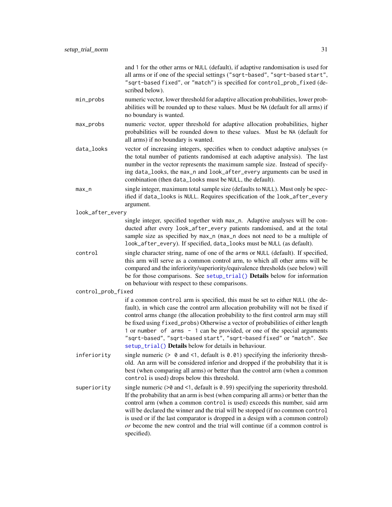<span id="page-30-0"></span>

|                    | and 1 for the other arms or NULL (default), if adaptive randomisation is used for<br>all arms or if one of the special settings ("sqrt-based", "sqrt-based start",<br>"sqrt-based fixed", or "match") is specified for control_prob_fixed (de-<br>scribed below).                                                                                                                                                                                                                                                                                          |
|--------------------|------------------------------------------------------------------------------------------------------------------------------------------------------------------------------------------------------------------------------------------------------------------------------------------------------------------------------------------------------------------------------------------------------------------------------------------------------------------------------------------------------------------------------------------------------------|
| min_probs          | numeric vector, lower threshold for adaptive allocation probabilities, lower prob-<br>abilities will be rounded up to these values. Must be NA (default for all arms) if<br>no boundary is wanted.                                                                                                                                                                                                                                                                                                                                                         |
| max_probs          | numeric vector, upper threshold for adaptive allocation probabilities, higher<br>probabilities will be rounded down to these values. Must be NA (default for<br>all arms) if no boundary is wanted.                                                                                                                                                                                                                                                                                                                                                        |
| data_looks         | vector of increasing integers, specifies when to conduct adaptive analyses (=<br>the total number of patients randomised at each adaptive analysis). The last<br>number in the vector represents the maximum sample size. Instead of specify-<br>ing data_looks, the max_n and look_after_every arguments can be used in<br>combination (then data_looks must be NULL, the default).                                                                                                                                                                       |
| $max_n$            | single integer, maximum total sample size (defaults to NULL). Must only be spec-<br>ified if data_looks is NULL. Requires specification of the look_after_every<br>argument.                                                                                                                                                                                                                                                                                                                                                                               |
| look_after_every   |                                                                                                                                                                                                                                                                                                                                                                                                                                                                                                                                                            |
|                    | single integer, specified together with max_n. Adaptive analyses will be con-<br>ducted after every look_after_every patients randomised, and at the total<br>sample size as specified by max_n (max_n does not need to be a multiple of<br>look_after_every). If specified, data_looks must be NULL (as default).                                                                                                                                                                                                                                         |
| control            | single character string, name of one of the arms or NULL (default). If specified,<br>this arm will serve as a common control arm, to which all other arms will be<br>compared and the inferiority/superiority/equivalence thresholds (see below) will<br>be for those comparisons. See setup_trial() Details below for information<br>on behaviour with respect to these comparisons.                                                                                                                                                                      |
| control_prob_fixed |                                                                                                                                                                                                                                                                                                                                                                                                                                                                                                                                                            |
|                    | if a common control arm is specified, this must be set to either NULL (the de-<br>fault), in which case the control arm allocation probability will not be fixed if<br>control arms change (the allocation probability to the first control arm may still<br>be fixed using fixed_probs) Otherwise a vector of probabilities of either length<br>1 or number of arms - 1 can be provided, or one of the special arguments<br>"sqrt-based", "sqrt-based start", "sqrt-based fixed" or "match". See<br>setup_trial() Details below for details in behaviour. |
| inferiority        | single numeric $(> 0$ and <1, default is 0.01) specifying the inferiority thresh-<br>old. An arm will be considered inferior and dropped if the probability that it is<br>best (when comparing all arms) or better than the control arm (when a common<br>control is used) drops below this threshold.                                                                                                                                                                                                                                                     |
| superiority        | single numeric $($ > $\theta$ and $\le$ 1, default is $\theta$ . 99) specifying the superiority threshold.<br>If the probability that an arm is best (when comparing all arms) or better than the<br>control arm (when a common control is used) exceeds this number, said arm<br>will be declared the winner and the trial will be stopped (if no common control<br>is used or if the last comparator is dropped in a design with a common control)<br>or become the new control and the trial will continue (if a common control is<br>specified).       |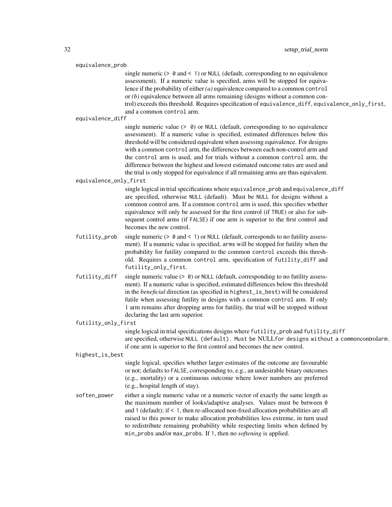#### equivalence\_prob

single numeric ( $> 0$  and  $< 1$ ) or NULL (default, corresponding to no equivalence assessment). If a numeric value is specified, arms will be stopped for equivalence if the probability of either *(a)* equivalence compared to a common control or *(b)* equivalence between all arms remaining (designs without a common control) exceeds this threshold. Requires specification of equivalence\_diff, equivalence\_only\_first, and a common control arm.

equivalence\_diff

single numeric value  $(> 0)$  or NULL (default, corresponding to no equivalence assessment). If a numeric value is specified, estimated differences below this threshold will be considered equivalent when assessing equivalence. For designs with a common control arm, the differences between each non-control arm and the control arm is used, and for trials without a common control arm, the difference between the highest and lowest estimated outcome rates are used and the trial is only stopped for equivalence if all remaining arms are thus equivalent.

equivalence\_only\_first

single logical in trial specifications where equivalence\_prob and equivalence\_diff are specified, otherwise NULL (default). Must be NULL for designs without a common control arm. If a common control arm is used, this specifies whether equivalence will only be assessed for the first control (if TRUE) or also for subsequent control arms (if FALSE) if one arm is superior to the first control and becomes the new control.

- futility\_prob single numeric  $(> 0 \text{ and } < 1)$  or NULL (default, corresponds to no futility assessment). If a numeric value is specified, arms will be stopped for futility when the probability for futility compared to the common control exceeds this threshold. Requires a common control arm, specification of futility\_diff and futility\_only\_first.
- futility\_diff single numeric value  $(> 0)$  or NULL (default, corresponding to no futility assessment). If a numeric value is specified, estimated differences below this threshold in the *beneficial* direction (as specified in highest\_is\_best) will be considered futile when assessing futility in designs with a common control arm. If only 1 arm remains after dropping arms for futility, the trial will be stopped without declaring the last arm superior.

#### futility\_only\_first

single logical in trial specifications designs where futility\_prob and futility\_diff are specified, otherwise NULL (default). Must be NULLfor designs without a commoncontrolarm. if one arm is superior to the first control and becomes the new control.

#### highest\_is\_best

single logical, specifies whether larger estimates of the outcome are favourable or not; defaults to FALSE, corresponding to, e.g., an undesirable binary outcomes (e.g., mortality) or a continuous outcome where lower numbers are preferred (e.g., hospital length of stay).

soften\_power either a single numeric value or a numeric vector of exactly the same length as the maximum number of looks/adaptive analyses. Values must be between 0 and 1 (default); if < 1, then re-allocated non-fixed allocation probabilities are all raised to this power to make allocation probabilities less extreme, in turn used to redistribute remaining probability while respecting limits when defined by min\_probs and/or max\_probs. If 1, then no *softening* is applied.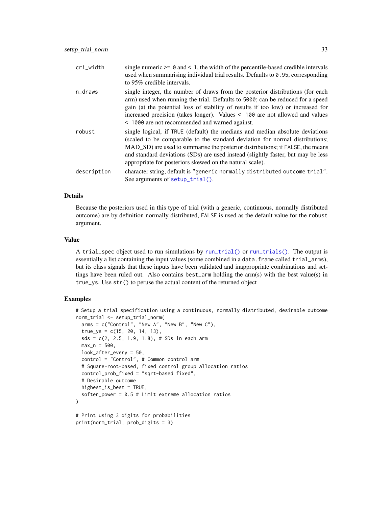<span id="page-32-0"></span>

| cri_width   | single numeric $\geq 0$ and $\leq 1$ , the width of the percentile-based credible intervals<br>used when summarising individual trial results. Defaults to 0.95, corresponding<br>to 95% credible intervals.                                                                                                                                                                                   |
|-------------|------------------------------------------------------------------------------------------------------------------------------------------------------------------------------------------------------------------------------------------------------------------------------------------------------------------------------------------------------------------------------------------------|
| n_draws     | single integer, the number of draws from the posterior distributions (for each<br>arm) used when running the trial. Defaults to 5000; can be reduced for a speed<br>gain (at the potential loss of stability of results if too low) or increased for<br>increased precision (takes longer). Values $\leq 100$ are not allowed and values<br>< 1000 are not recommended and warned against.     |
| robust      | single logical, if TRUE (default) the medians and median absolute deviations<br>(scaled to be comparable to the standard deviation for normal distributions;<br>MAD_SD) are used to summarise the posterior distributions; if FALSE, the means<br>and standard deviations (SDs) are used instead (slightly faster, but may be less<br>appropriate for posteriors skewed on the natural scale). |
| description | character string, default is "generic normally distributed outcome trial".<br>See arguments of setup_trial().                                                                                                                                                                                                                                                                                  |

### Details

Because the posteriors used in this type of trial (with a generic, continuous, normally distributed outcome) are by definition normally distributed, FALSE is used as the default value for the robust argument.

#### Value

A trial\_spec object used to run simulations by [run\\_trial\(\)](#page-11-1) or [run\\_trials\(\)](#page-14-1). The output is essentially a list containing the input values (some combined in a data. frame called trial\_arms), but its class signals that these inputs have been validated and inappropriate combinations and settings have been ruled out. Also contains best\_arm holding the arm(s) with the best value(s) in true\_ys. Use str() to peruse the actual content of the returned object

#### Examples

```
# Setup a trial specification using a continuous, normally distributed, desirable outcome
norm_trial <- setup_trial_norm(
 arms = c("Control", "New A", "New B", "New C"),
 true_{ys} = c(15, 20, 14, 13),sds = c(2, 2.5, 1.9, 1.8), # SDs in each arm
 max_n = 500,
 look_after_every = 50,
 control = "Control", # Common control arm
 # Square-root-based, fixed control group allocation ratios
 control_prob_fixed = "sqrt-based fixed",
 # Desirable outcome
 highest_is_best = TRUE,
 soften_power = 0.5 # Limit extreme allocation ratios
\mathcal{L}# Print using 3 digits for probabilities
print(norm_trial, prob_digits = 3)
```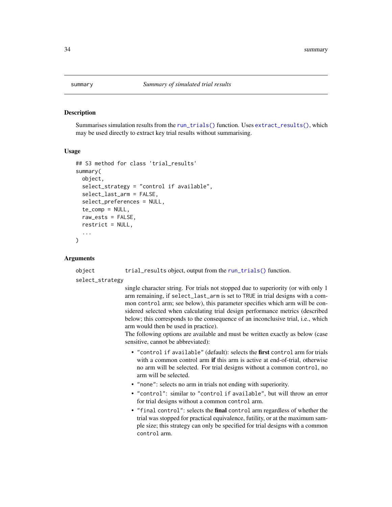<span id="page-33-1"></span><span id="page-33-0"></span>

## Description

Summarises simulation results from the [run\\_trials\(\)](#page-14-1) function. Uses [extract\\_results\(\)](#page-2-1), which may be used directly to extract key trial results without summarising.

#### Usage

```
## S3 method for class 'trial_results'
summary(
 object,
  select_strategy = "control if available",
  select_last_arm = FALSE,
  select_preferences = NULL,
  te_{comp} = NULL,
  raw_ests = FALSE,
  restrict = NULL,
  ...
)
```
#### Arguments

object trial\_results object, output from the [run\\_trials\(\)](#page-14-1) function.

select\_strategy

single character string. For trials not stopped due to superiority (or with only 1 arm remaining, if select\_last\_arm is set to TRUE in trial designs with a common control arm; see below), this parameter specifies which arm will be considered selected when calculating trial design performance metrics (described below; this corresponds to the consequence of an inconclusive trial, i.e., which arm would then be used in practice).

The following options are available and must be written exactly as below (case sensitive, cannot be abbreviated):

- "control if available" (default): selects the first control arm for trials with a common control arm if this arm is active at end-of-trial, otherwise no arm will be selected. For trial designs without a common control, no arm will be selected.
- "none": selects no arm in trials not ending with superiority.
- "control": similar to "control if available", but will throw an error for trial designs without a common control arm.
- "final control": selects the final control arm regardless of whether the trial was stopped for practical equivalence, futility, or at the maximum sample size; this strategy can only be specified for trial designs with a common control arm.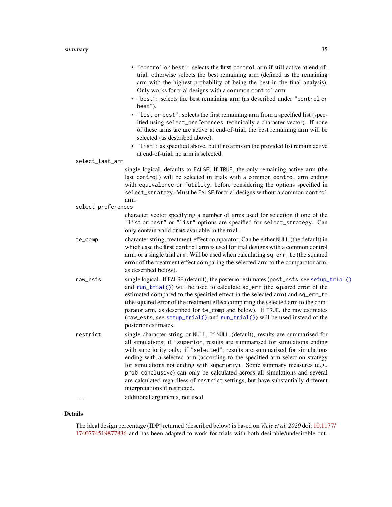<span id="page-34-0"></span>

| select_last_arm    | . "control or best": selects the first control arm if still active at end-of-<br>trial, otherwise selects the best remaining arm (defined as the remaining<br>arm with the highest probability of being the best in the final analysis).<br>Only works for trial designs with a common control arm.<br>· "best": selects the best remaining arm (as described under "control or<br>best").<br>· "list or best": selects the first remaining arm from a specified list (spec-<br>ified using select_preferences, technically a character vector). If none<br>of these arms are are active at end-of-trial, the best remaining arm will be<br>selected (as described above).<br>• "list": as specified above, but if no arms on the provided list remain active<br>at end-of-trial, no arm is selected.<br>single logical, defaults to FALSE. If TRUE, the only remaining active arm (the |
|--------------------|-----------------------------------------------------------------------------------------------------------------------------------------------------------------------------------------------------------------------------------------------------------------------------------------------------------------------------------------------------------------------------------------------------------------------------------------------------------------------------------------------------------------------------------------------------------------------------------------------------------------------------------------------------------------------------------------------------------------------------------------------------------------------------------------------------------------------------------------------------------------------------------------|
|                    | last control) will be selected in trials with a common control arm ending<br>with equivalence or futility, before considering the options specified in<br>select_strategy. Must be FALSE for trial designs without a common control                                                                                                                                                                                                                                                                                                                                                                                                                                                                                                                                                                                                                                                     |
| select_preferences | arm.                                                                                                                                                                                                                                                                                                                                                                                                                                                                                                                                                                                                                                                                                                                                                                                                                                                                                    |
|                    | character vector specifying a number of arms used for selection if one of the<br>"list or best" or "list" options are specified for select_strategy. Can<br>only contain valid arms available in the trial.                                                                                                                                                                                                                                                                                                                                                                                                                                                                                                                                                                                                                                                                             |
| te_comp            | character string, treatment-effect comparator. Can be either NULL (the default) in<br>which case the first control arm is used for trial designs with a common control<br>arm, or a single trial arm. Will be used when calculating sq_err_te (the squared<br>error of the treatment effect comparing the selected arm to the comparator arm,<br>as described below).                                                                                                                                                                                                                                                                                                                                                                                                                                                                                                                   |
| raw_ests           | single logical. If FALSE (default), the posterior estimates (post_ests, see setup_trial()<br>and run_trial()) will be used to calculate sq_err (the squared error of the<br>estimated compared to the specified effect in the selected arm) and sq_err_te<br>(the squared error of the treatment effect comparing the selected arm to the com-<br>parator arm, as described for te_comp and below). If TRUE, the raw estimates<br>(raw_ests, see setup_trial() and run_trial()) will be used instead of the<br>posterior estimates.                                                                                                                                                                                                                                                                                                                                                     |
| restrict           | single character string or NULL. If NULL (default), results are summarised for<br>all simulations; if "superior, results are summarised for simulations ending<br>with superiority only; if "selected", results are summarised for simulations<br>ending with a selected arm (according to the specified arm selection strategy<br>for simulations not ending with superiority). Some summary measures (e.g.,<br>prob_conclusive) can only be calculated across all simulations and several<br>are calculated regardless of restrict settings, but have substantially different<br>interpretations if restricted.                                                                                                                                                                                                                                                                       |
|                    | additional arguments, not used.                                                                                                                                                                                                                                                                                                                                                                                                                                                                                                                                                                                                                                                                                                                                                                                                                                                         |

## Details

The ideal design percentage (IDP) returned (described below) is based on *Viele et al, 2020* doi: [10.117](https://doi.org/10.1177/1740774519877836)7/ [1740774519877836](https://doi.org/10.1177/1740774519877836) and has been adapted to work for trials with both desirable/undesirable out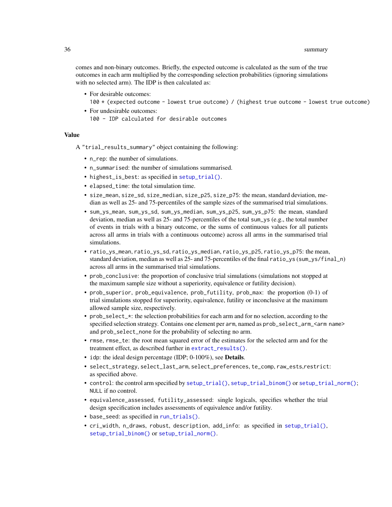<span id="page-35-0"></span>comes and non-binary outcomes. Briefly, the expected outcome is calculated as the sum of the true outcomes in each arm multiplied by the corresponding selection probabilities (ignoring simulations with no selected arm). The IDP is then calculated as:

- For desirable outcomes: 100 \* (expected outcome - lowest true outcome) / (highest true outcome - lowest true outcome)
- For undesirable outcomes: 100 - IDP calculated for desirable outcomes

#### Value

A "trial\_results\_summary" object containing the following:

- n\_rep: the number of simulations.
- n\_summarised: the number of simulations summarised.
- highest\_is\_best: as specified in [setup\\_trial\(\)](#page-16-1).
- elapsed\_time: the total simulation time.
- size\_mean, size\_sd, size\_median, size\_p25, size\_p75: the mean, standard deviation, median as well as 25- and 75-percentiles of the sample sizes of the summarised trial simulations.
- sum\_ys\_mean, sum\_ys\_sd, sum\_ys\_median, sum\_ys\_p25, sum\_ys\_p75: the mean, standard deviation, median as well as 25- and 75-percentiles of the total sum\_ys (e.g., the total number of events in trials with a binary outcome, or the sums of continuous values for all patients across all arms in trials with a continuous outcome) across all arms in the summarised trial simulations.
- ratio\_ys\_mean, ratio\_ys\_sd, ratio\_ys\_median, ratio\_ys\_p25, ratio\_ys\_p75: the mean, standard deviation, median as well as 25- and 75-percentiles of the final ratio\_ys (sum\_ys/final\_n) across all arms in the summarised trial simulations.
- prob\_conclusive: the proportion of conclusive trial simulations (simulations not stopped at the maximum sample size without a superiority, equivalence or futility decision).
- prob\_superior, prob\_equivalence, prob\_futility, prob\_max: the proportion (0-1) of trial simulations stopped for superiority, equivalence, futility or inconclusive at the maximum allowed sample size, respectively.
- prob\_select\_\*: the selection probabilities for each arm and for no selection, according to the specified selection strategy. Contains one element per arm, named as prob\_select\_arm\_<arm name> and prob\_select\_none for the probability of selecting no arm.
- rmse, rmse\_te: the root mean squared error of the estimates for the selected arm and for the treatment effect, as described further in [extract\\_results\(\)](#page-2-1).
- idp: the ideal design percentage (IDP; 0-100%), see **Details**.
- select\_strategy, select\_last\_arm, select\_preferences, te\_comp, raw\_ests,restrict: as specified above.
- control: the control arm specified by [setup\\_trial\(\)](#page-16-1), [setup\\_trial\\_binom\(\)](#page-24-1) or [setup\\_trial\\_norm\(\)](#page-28-1); NULL if no control.
- equivalence\_assessed, futility\_assessed: single logicals, specifies whether the trial design specification includes assessments of equivalence and/or futility.
- base\_seed: as specified in [run\\_trials\(\)](#page-14-1).
- cri\_width, n\_draws, robust, description, add\_info: as specified in [setup\\_trial\(\)](#page-16-1), [setup\\_trial\\_binom\(\)](#page-24-1) or [setup\\_trial\\_norm\(\)](#page-28-1).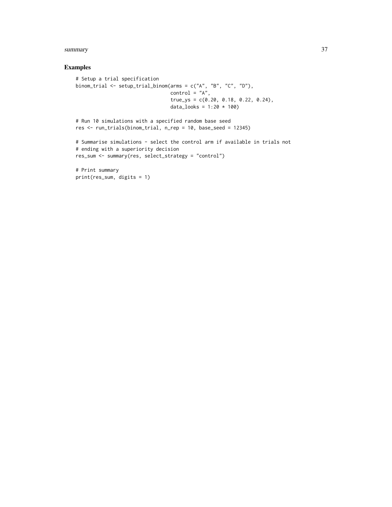#### summary 37

## Examples

```
# Setup a trial specification
binom_trial <- setup_trial_binom(arms = c("A", "B", "C", "D"),
                                control = "A",true_ys = c(0.20, 0.18, 0.22, 0.24),
                                data_looks = 1:20 * 100# Run 10 simulations with a specified random base seed
res <- run_trials(binom_trial, n_rep = 10, base_seed = 12345)
# Summarise simulations - select the control arm if available in trials not
# ending with a superiority decision
res_sum <- summary(res, select_strategy = "control")
# Print summary
print(res_sum, digits = 1)
```